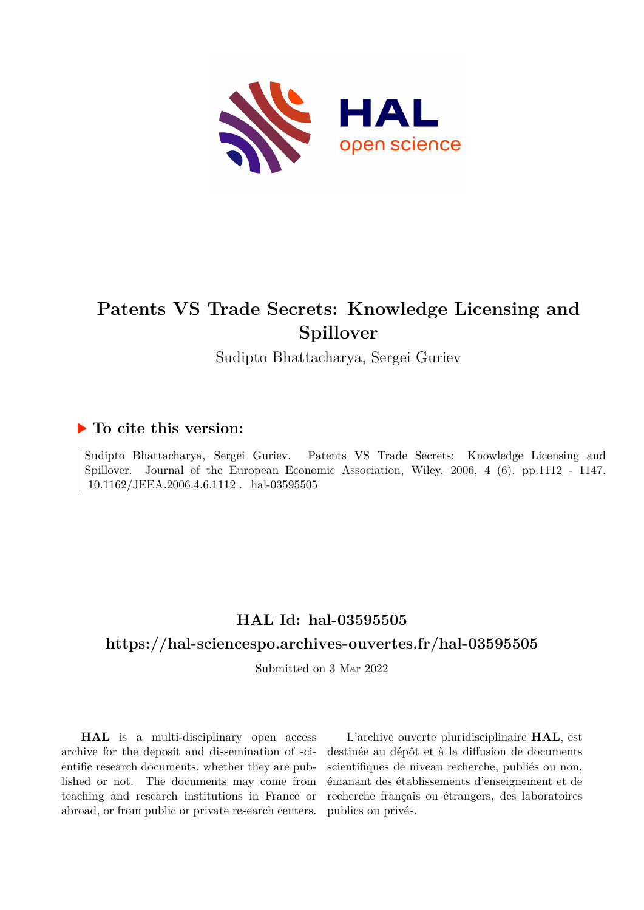

# **Patents VS Trade Secrets: Knowledge Licensing and Spillover**

Sudipto Bhattacharya, Sergei Guriev

### **To cite this version:**

Sudipto Bhattacharya, Sergei Guriev. Patents VS Trade Secrets: Knowledge Licensing and Spillover. Journal of the European Economic Association, Wiley, 2006, 4 (6), pp.1112 - 1147.  $10.1162/JEEA.2006.4.6.1112$  .  $\,$  hal-03595505  $\,$ 

## **HAL Id: hal-03595505**

### **<https://hal-sciencespo.archives-ouvertes.fr/hal-03595505>**

Submitted on 3 Mar 2022

**HAL** is a multi-disciplinary open access archive for the deposit and dissemination of scientific research documents, whether they are published or not. The documents may come from teaching and research institutions in France or abroad, or from public or private research centers.

L'archive ouverte pluridisciplinaire **HAL**, est destinée au dépôt et à la diffusion de documents scientifiques de niveau recherche, publiés ou non, émanant des établissements d'enseignement et de recherche français ou étrangers, des laboratoires publics ou privés.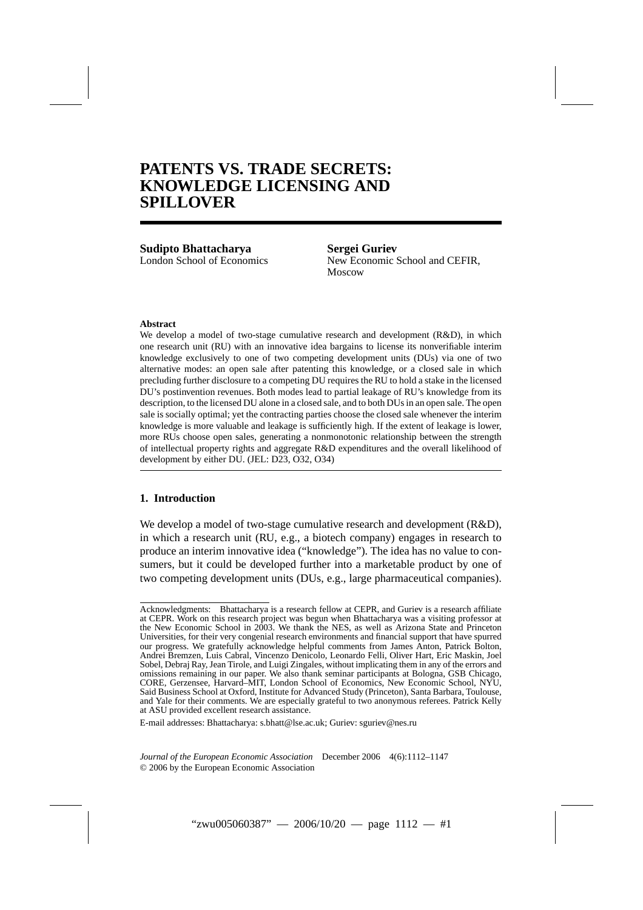### **PATENTS VS. TRADE SECRETS: KNOWLEDGE LICENSING AND SPILLOVER**

**Sudipto Bhattacharya** London School of Economics **Sergei Guriev** New Economic School and CEFIR, Moscow

#### **Abstract**

We develop a model of two-stage cumulative research and development (R&D), in which one research unit (RU) with an innovative idea bargains to license its nonverifiable interim knowledge exclusively to one of two competing development units (DUs) via one of two alternative modes: an open sale after patenting this knowledge, or a closed sale in which precluding further disclosure to a competing DU requires the RU to hold a stake in the licensed DU's postinvention revenues. Both modes lead to partial leakage of RU's knowledge from its description, to the licensed DU alone in a closed sale, and to both DUs in an open sale. The open sale is socially optimal; yet the contracting parties choose the closed sale whenever the interim knowledge is more valuable and leakage is sufficiently high. If the extent of leakage is lower, more RUs choose open sales, generating a nonmonotonic relationship between the strength of intellectual property rights and aggregate R&D expenditures and the overall likelihood of development by either DU. (JEL: D23, O32, O34)

#### **1. Introduction**

We develop a model of two-stage cumulative research and development (R&D), in which a research unit (RU, e.g., a biotech company) engages in research to produce an interim innovative idea ("knowledge"). The idea has no value to consumers, but it could be developed further into a marketable product by one of two competing development units (DUs, e.g., large pharmaceutical companies).

E-mail addresses: Bhattacharya: s.bhatt@lse.ac.uk; Guriev: sguriev@nes.ru

*Journal of the European Economic Association* December 2006 4(6):1112–1147 © 2006 by the European Economic Association

"zwu005060387" — 2006/10/20 — page  $1112 - #1$ 

Acknowledgments: Bhattacharya is a research fellow at CEPR, and Guriev is a research affiliate at CEPR. Work on this research project was begun when Bhattacharya was a visiting professor at the New Economic School in 2003. We thank the NES, as well as Arizona State and Princeton Universities, for their very congenial research environments and financial support that have spurred our progress. We gratefully acknowledge helpful comments from James Anton, Patrick Bolton, Andrei Bremzen, Luis Cabral, Vincenzo Denicolo, Leonardo Felli, Oliver Hart, Eric Maskin, Joel Sobel, Debraj Ray, Jean Tirole, and Luigi Zingales, without implicating them in any of the errors and omissions remaining in our paper. We also thank seminar participants at Bologna, GSB Chicago, CORE, Gerzensee, Harvard–MIT, London School of Economics, New Economic School, NYU, Said Business School at Oxford, Institute for Advanced Study (Princeton), Santa Barbara, Toulouse, and Yale for their comments. We are especially grateful to two anonymous referees. Patrick Kelly at ASU provided excellent research assistance.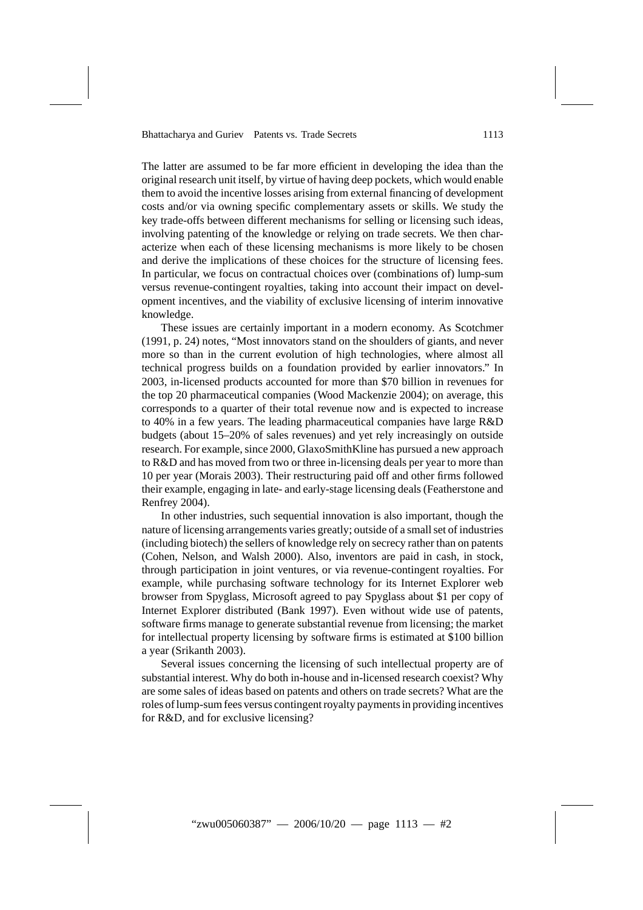The latter are assumed to be far more efficient in developing the idea than the original research unit itself, by virtue of having deep pockets, which would enable them to avoid the incentive losses arising from external financing of development costs and/or via owning specific complementary assets or skills. We study the key trade-offs between different mechanisms for selling or licensing such ideas, involving patenting of the knowledge or relying on trade secrets. We then characterize when each of these licensing mechanisms is more likely to be chosen and derive the implications of these choices for the structure of licensing fees. In particular, we focus on contractual choices over (combinations of) lump-sum versus revenue-contingent royalties, taking into account their impact on development incentives, and the viability of exclusive licensing of interim innovative knowledge.

These issues are certainly important in a modern economy. As Scotchmer (1991, p. 24) notes, "Most innovators stand on the shoulders of giants, and never more so than in the current evolution of high technologies, where almost all technical progress builds on a foundation provided by earlier innovators." In 2003, in-licensed products accounted for more than \$70 billion in revenues for the top 20 pharmaceutical companies (Wood Mackenzie 2004); on average, this corresponds to a quarter of their total revenue now and is expected to increase to 40% in a few years. The leading pharmaceutical companies have large R&D budgets (about 15–20% of sales revenues) and yet rely increasingly on outside research. For example, since 2000, GlaxoSmithKline has pursued a new approach to R&D and has moved from two or three in-licensing deals per year to more than 10 per year (Morais 2003). Their restructuring paid off and other firms followed their example, engaging in late- and early-stage licensing deals (Featherstone and Renfrey 2004).

In other industries, such sequential innovation is also important, though the nature of licensing arrangements varies greatly; outside of a small set of industries (including biotech) the sellers of knowledge rely on secrecy rather than on patents (Cohen, Nelson, and Walsh 2000). Also, inventors are paid in cash, in stock, through participation in joint ventures, or via revenue-contingent royalties. For example, while purchasing software technology for its Internet Explorer web browser from Spyglass, Microsoft agreed to pay Spyglass about \$1 per copy of Internet Explorer distributed (Bank 1997). Even without wide use of patents, software firms manage to generate substantial revenue from licensing; the market for intellectual property licensing by software firms is estimated at \$100 billion a year (Srikanth 2003).

Several issues concerning the licensing of such intellectual property are of substantial interest. Why do both in-house and in-licensed research coexist? Why are some sales of ideas based on patents and others on trade secrets? What are the roles of lump-sum fees versus contingent royalty payments in providing incentives for R&D, and for exclusive licensing?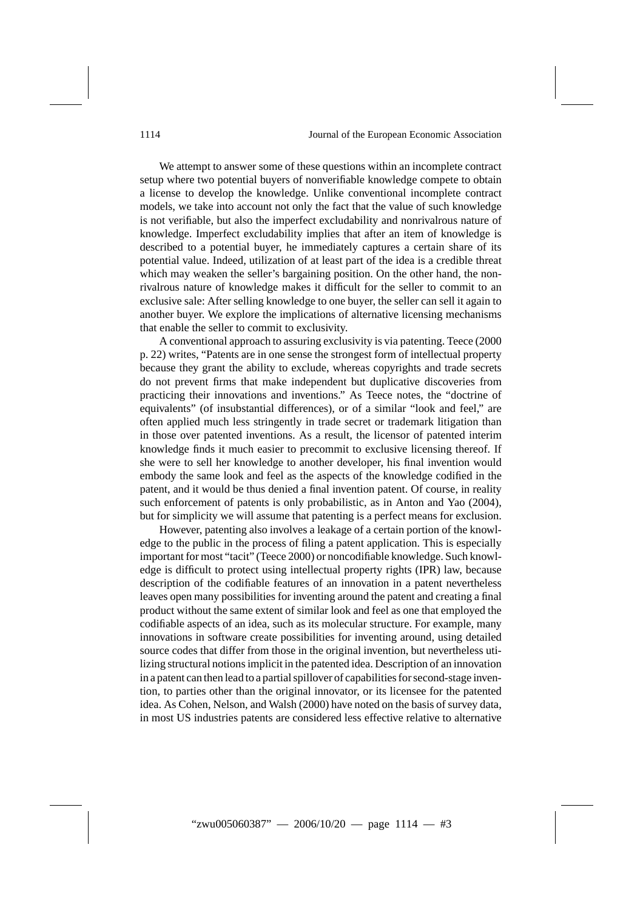#### 1114 Journal of the European Economic Association

We attempt to answer some of these questions within an incomplete contract setup where two potential buyers of nonverifiable knowledge compete to obtain a license to develop the knowledge. Unlike conventional incomplete contract models, we take into account not only the fact that the value of such knowledge is not verifiable, but also the imperfect excludability and nonrivalrous nature of knowledge. Imperfect excludability implies that after an item of knowledge is described to a potential buyer, he immediately captures a certain share of its potential value. Indeed, utilization of at least part of the idea is a credible threat which may weaken the seller's bargaining position. On the other hand, the nonrivalrous nature of knowledge makes it difficult for the seller to commit to an exclusive sale: After selling knowledge to one buyer, the seller can sell it again to another buyer. We explore the implications of alternative licensing mechanisms that enable the seller to commit to exclusivity.

A conventional approach to assuring exclusivity is via patenting. Teece (2000 p. 22) writes, "Patents are in one sense the strongest form of intellectual property because they grant the ability to exclude, whereas copyrights and trade secrets do not prevent firms that make independent but duplicative discoveries from practicing their innovations and inventions." As Teece notes, the "doctrine of equivalents" (of insubstantial differences), or of a similar "look and feel," are often applied much less stringently in trade secret or trademark litigation than in those over patented inventions. As a result, the licensor of patented interim knowledge finds it much easier to precommit to exclusive licensing thereof. If she were to sell her knowledge to another developer, his final invention would embody the same look and feel as the aspects of the knowledge codified in the patent, and it would be thus denied a final invention patent. Of course, in reality such enforcement of patents is only probabilistic, as in Anton and Yao (2004), but for simplicity we will assume that patenting is a perfect means for exclusion.

However, patenting also involves a leakage of a certain portion of the knowledge to the public in the process of filing a patent application. This is especially important for most "tacit" (Teece 2000) or noncodifiable knowledge. Such knowledge is difficult to protect using intellectual property rights (IPR) law, because description of the codifiable features of an innovation in a patent nevertheless leaves open many possibilities for inventing around the patent and creating a final product without the same extent of similar look and feel as one that employed the codifiable aspects of an idea, such as its molecular structure. For example, many innovations in software create possibilities for inventing around, using detailed source codes that differ from those in the original invention, but nevertheless utilizing structural notions implicit in the patented idea. Description of an innovation in a patent can then lead to a partial spillover of capabilities for second-stage invention, to parties other than the original innovator, or its licensee for the patented idea. As Cohen, Nelson, and Walsh (2000) have noted on the basis of survey data, in most US industries patents are considered less effective relative to alternative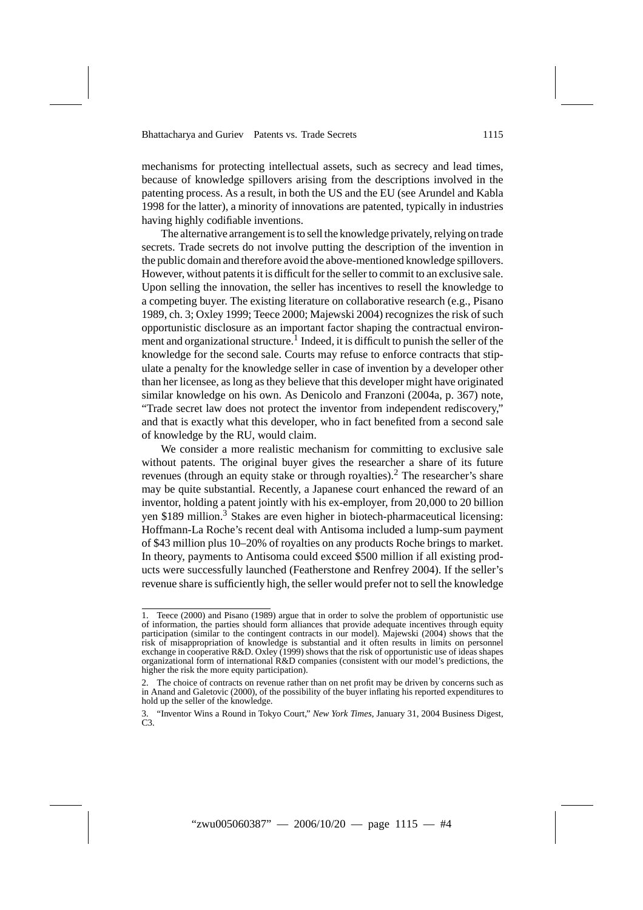mechanisms for protecting intellectual assets, such as secrecy and lead times, because of knowledge spillovers arising from the descriptions involved in the patenting process. As a result, in both the US and the EU (see Arundel and Kabla 1998 for the latter), a minority of innovations are patented, typically in industries having highly codifiable inventions.

The alternative arrangement is to sell the knowledge privately, relying on trade secrets. Trade secrets do not involve putting the description of the invention in the public domain and therefore avoid the above-mentioned knowledge spillovers. However, without patents it is difficult for the seller to commit to an exclusive sale. Upon selling the innovation, the seller has incentives to resell the knowledge to a competing buyer. The existing literature on collaborative research (e.g., Pisano 1989, ch. 3; Oxley 1999; Teece 2000; Majewski 2004) recognizes the risk of such opportunistic disclosure as an important factor shaping the contractual environment and organizational structure.<sup>1</sup> Indeed, it is difficult to punish the seller of the knowledge for the second sale. Courts may refuse to enforce contracts that stipulate a penalty for the knowledge seller in case of invention by a developer other than her licensee, as long as they believe that this developer might have originated similar knowledge on his own. As Denicolo and Franzoni (2004a, p. 367) note, "Trade secret law does not protect the inventor from independent rediscovery," and that is exactly what this developer, who in fact benefited from a second sale of knowledge by the RU, would claim.

We consider a more realistic mechanism for committing to exclusive sale without patents. The original buyer gives the researcher a share of its future revenues (through an equity stake or through royalties).<sup>2</sup> The researcher's share may be quite substantial. Recently, a Japanese court enhanced the reward of an inventor, holding a patent jointly with his ex-employer, from 20,000 to 20 billion yen \$189 million.<sup>3</sup> Stakes are even higher in biotech-pharmaceutical licensing: Hoffmann-La Roche's recent deal with Antisoma included a lump-sum payment of \$43 million plus 10–20% of royalties on any products Roche brings to market. In theory, payments to Antisoma could exceed \$500 million if all existing products were successfully launched (Featherstone and Renfrey 2004). If the seller's revenue share is sufficiently high, the seller would prefer not to sell the knowledge

"zwu005060387" — 2006/10/20 — page  $1115 - #4$ 

Teece (2000) and Pisano (1989) argue that in order to solve the problem of opportunistic use of information, the parties should form alliances that provide adequate incentives through equity participation (similar to the contingent contracts in our model). Majewski (2004) shows that the risk of misappropriation of knowledge is substantial and it often results in limits on personnel exchange in cooperative R&D. Oxley (1999) shows that the risk of opportunistic use of ideas shapes organizational form of international R&D companies (consistent with our model's predictions, the higher the risk the more equity participation).

<sup>2.</sup> The choice of contracts on revenue rather than on net profit may be driven by concerns such as in Anand and Galetovic (2000), of the possibility of the buyer inflating his reported expenditures to hold up the seller of the knowledge.

<sup>3. &</sup>quot;Inventor Wins a Round in Tokyo Court," *New York Times*, January 31, 2004 Business Digest,  $rac{3}{\sqrt{3}}$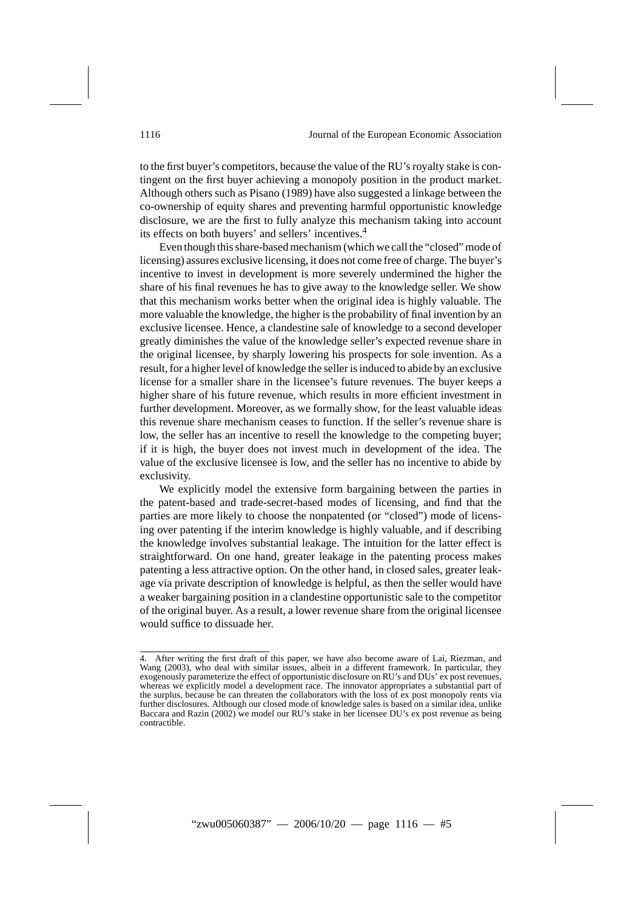#### 1116 Journal of the European Economic Association

to the first buyer's competitors, because the value of the RU's royalty stake is contingent on the first buyer achieving a monopoly position in the product market. Although others such as Pisano (1989) have also suggested a linkage between the co-ownership of equity shares and preventing harmful opportunistic knowledge disclosure, we are the first to fully analyze this mechanism taking into account its effects on both buyers' and sellers' incentives.<sup>4</sup>

Even though this share-based mechanism (which we call the "closed" mode of licensing) assures exclusive licensing, it does not come free of charge. The buyer's incentive to invest in development is more severely undermined the higher the share of his final revenues he has to give away to the knowledge seller. We show that this mechanism works better when the original idea is highly valuable. The more valuable the knowledge, the higher is the probability of final invention by an exclusive licensee. Hence, a clandestine sale of knowledge to a second developer greatly diminishes the value of the knowledge seller's expected revenue share in the original licensee, by sharply lowering his prospects for sole invention. As a result, for a higher level of knowledge the seller is induced to abide by an exclusive license for a smaller share in the licensee's future revenues. The buyer keeps a higher share of his future revenue, which results in more efficient investment in further development. Moreover, as we formally show, for the least valuable ideas this revenue share mechanism ceases to function. If the seller's revenue share is low, the seller has an incentive to resell the knowledge to the competing buyer; if it is high, the buyer does not invest much in development of the idea. The value of the exclusive licensee is low, and the seller has no incentive to abide by exclusivity.

We explicitly model the extensive form bargaining between the parties in the patent-based and trade-secret-based modes of licensing, and find that the parties are more likely to choose the nonpatented (or "closed") mode of licensing over patenting if the interim knowledge is highly valuable, and if describing the knowledge involves substantial leakage. The intuition for the latter effect is straightforward. On one hand, greater leakage in the patenting process makes patenting a less attractive option. On the other hand, in closed sales, greater leakage via private description of knowledge is helpful, as then the seller would have a weaker bargaining position in a clandestine opportunistic sale to the competitor of the original buyer. As a result, a lower revenue share from the original licensee would suffice to dissuade her.

<sup>4.</sup> After writing the first draft of this paper, we have also become aware of Lai, Riezman, and Wang (2003), who deal with similar issues, albeit in a different framework. In particular, they exogenously parameterize the effect of opportunistic disclosure on RU's and DUs' ex post revenues, whereas we explicitly model a development race. The innovator appropriates a substantial part of the surplus, because he can threaten the collaborators with the loss of ex post monopoly rents via further disclosures. Although our closed mode of knowledge sales is based on a similar idea, unlike Baccara and Razin (2002) we model our RU's stake in her licensee DU's ex post revenue as being contractible.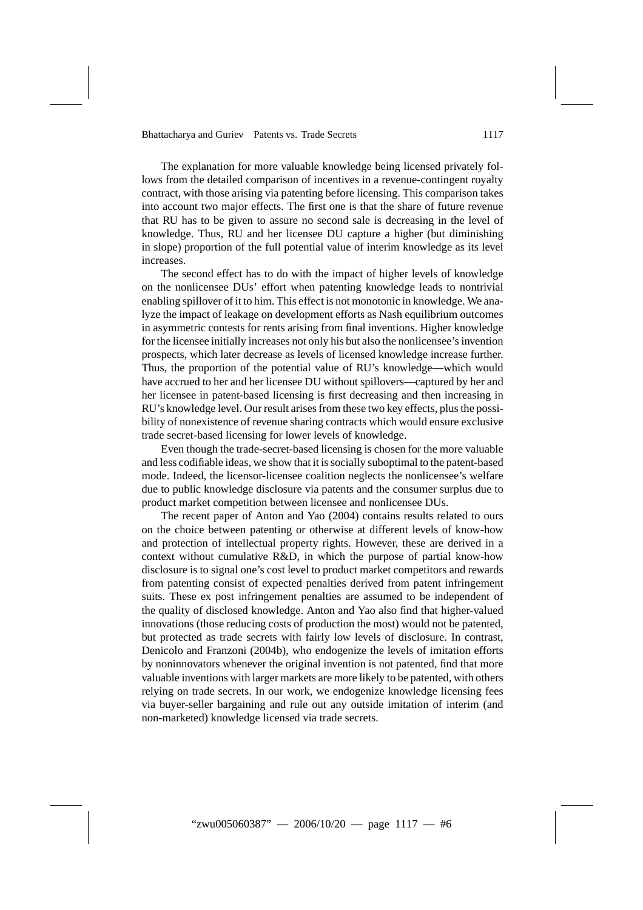The explanation for more valuable knowledge being licensed privately follows from the detailed comparison of incentives in a revenue-contingent royalty contract, with those arising via patenting before licensing. This comparison takes into account two major effects. The first one is that the share of future revenue that RU has to be given to assure no second sale is decreasing in the level of knowledge. Thus, RU and her licensee DU capture a higher (but diminishing in slope) proportion of the full potential value of interim knowledge as its level increases.

The second effect has to do with the impact of higher levels of knowledge on the nonlicensee DUs' effort when patenting knowledge leads to nontrivial enabling spillover of it to him. This effect is not monotonic in knowledge. We analyze the impact of leakage on development efforts as Nash equilibrium outcomes in asymmetric contests for rents arising from final inventions. Higher knowledge for the licensee initially increases not only his but also the nonlicensee's invention prospects, which later decrease as levels of licensed knowledge increase further. Thus, the proportion of the potential value of RU's knowledge—which would have accrued to her and her licensee DU without spillovers—captured by her and her licensee in patent-based licensing is first decreasing and then increasing in RU's knowledge level. Our result arises from these two key effects, plus the possibility of nonexistence of revenue sharing contracts which would ensure exclusive trade secret-based licensing for lower levels of knowledge.

Even though the trade-secret-based licensing is chosen for the more valuable and less codifiable ideas, we show that it is socially suboptimal to the patent-based mode. Indeed, the licensor-licensee coalition neglects the nonlicensee's welfare due to public knowledge disclosure via patents and the consumer surplus due to product market competition between licensee and nonlicensee DUs.

The recent paper of Anton and Yao (2004) contains results related to ours on the choice between patenting or otherwise at different levels of know-how and protection of intellectual property rights. However, these are derived in a context without cumulative R&D, in which the purpose of partial know-how disclosure is to signal one's cost level to product market competitors and rewards from patenting consist of expected penalties derived from patent infringement suits. These ex post infringement penalties are assumed to be independent of the quality of disclosed knowledge. Anton and Yao also find that higher-valued innovations (those reducing costs of production the most) would not be patented, but protected as trade secrets with fairly low levels of disclosure. In contrast, Denicolo and Franzoni (2004b), who endogenize the levels of imitation efforts by noninnovators whenever the original invention is not patented, find that more valuable inventions with larger markets are more likely to be patented, with others relying on trade secrets. In our work, we endogenize knowledge licensing fees via buyer-seller bargaining and rule out any outside imitation of interim (and non-marketed) knowledge licensed via trade secrets.

"zwu005060387" — 2006/10/20 — page  $1117 - #6$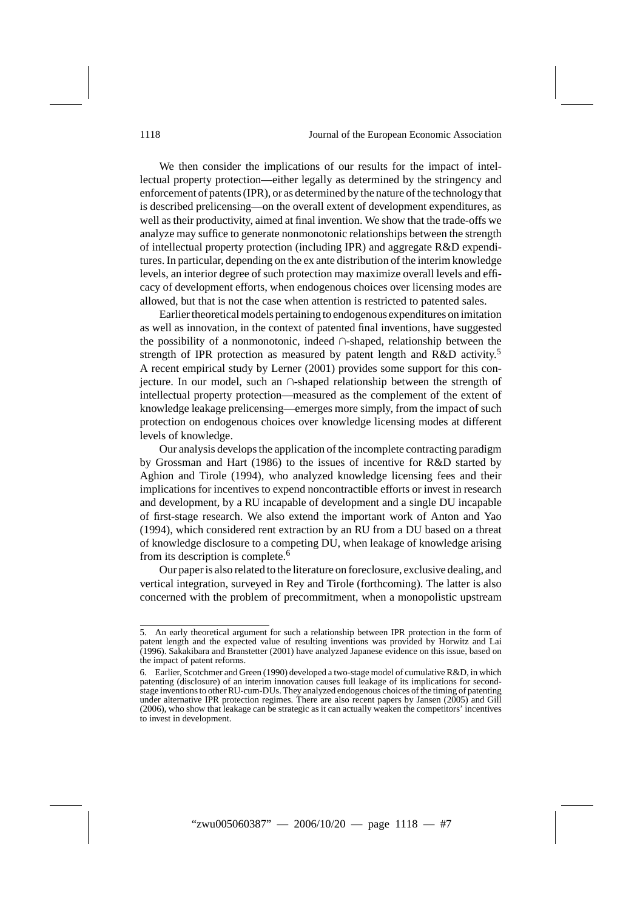#### 1118 Journal of the European Economic Association

We then consider the implications of our results for the impact of intellectual property protection—either legally as determined by the stringency and enforcement of patents (IPR), or as determined by the nature of the technology that is described prelicensing—on the overall extent of development expenditures, as well as their productivity, aimed at final invention. We show that the trade-offs we analyze may suffice to generate nonmonotonic relationships between the strength of intellectual property protection (including IPR) and aggregate R&D expenditures. In particular, depending on the ex ante distribution of the interim knowledge levels, an interior degree of such protection may maximize overall levels and efficacy of development efforts, when endogenous choices over licensing modes are allowed, but that is not the case when attention is restricted to patented sales.

Earlier theoretical models pertaining to endogenous expenditures on imitation as well as innovation, in the context of patented final inventions, have suggested the possibility of a nonmonotonic, indeed ∩-shaped, relationship between the strength of IPR protection as measured by patent length and R&D activity.<sup>5</sup> A recent empirical study by Lerner (2001) provides some support for this conjecture. In our model, such an ∩-shaped relationship between the strength of intellectual property protection—measured as the complement of the extent of knowledge leakage prelicensing—emerges more simply, from the impact of such protection on endogenous choices over knowledge licensing modes at different levels of knowledge.

Our analysis develops the application of the incomplete contracting paradigm by Grossman and Hart (1986) to the issues of incentive for R&D started by Aghion and Tirole (1994), who analyzed knowledge licensing fees and their implications for incentives to expend noncontractible efforts or invest in research and development, by a RU incapable of development and a single DU incapable of first-stage research. We also extend the important work of Anton and Yao (1994), which considered rent extraction by an RU from a DU based on a threat of knowledge disclosure to a competing DU, when leakage of knowledge arising from its description is complete.<sup>6</sup>

Our paper is also related to the literature on foreclosure, exclusive dealing, and vertical integration, surveyed in Rey and Tirole (forthcoming). The latter is also concerned with the problem of precommitment, when a monopolistic upstream

<sup>5.</sup> An early theoretical argument for such a relationship between IPR protection in the form of patent length and the expected value of resulting inventions was provided by Horwitz and Lai (1996). Sakakibara and Branstetter (2001) have analyzed Japanese evidence on this issue, based on the impact of patent reforms.

<sup>6.</sup> Earlier, Scotchmer and Green (1990) developed a two-stage model of cumulative R&D, in which patenting (disclosure) of an interim innovation causes full leakage of its implications for secondstage inventions to other RU-cum-DUs. They analyzed endogenous choices of the timing of patenting under alternative IPR protection regimes. There are also recent papers by Jansen (2005) and Gill (2006), who show that leakage can be strategic as it can actually weaken the competitors' incentives to invest in development.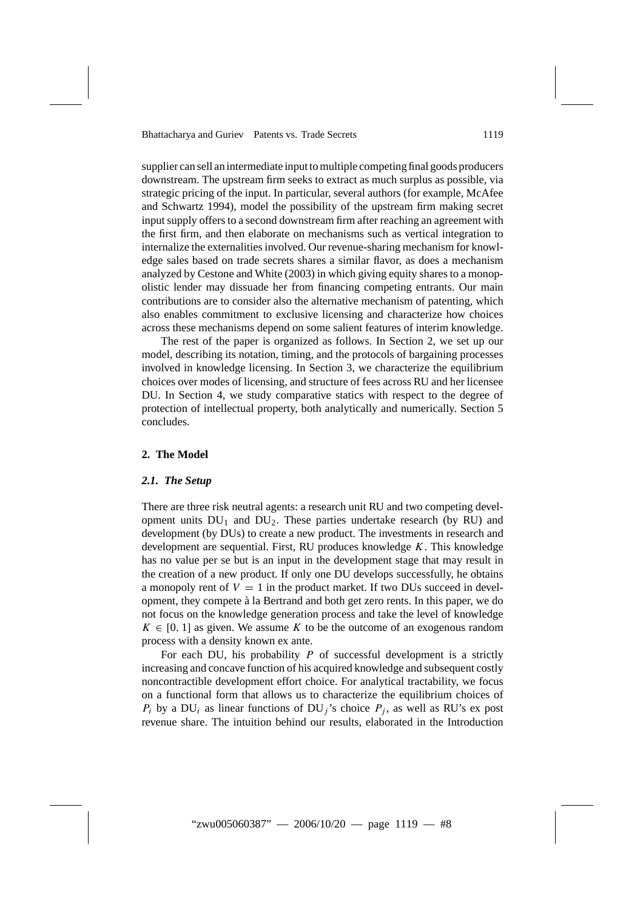supplier can sell an intermediate input to multiple competing final goods producers downstream. The upstream firm seeks to extract as much surplus as possible, via strategic pricing of the input. In particular, several authors (for example, McAfee and Schwartz 1994), model the possibility of the upstream firm making secret input supply offers to a second downstream firm after reaching an agreement with the first firm, and then elaborate on mechanisms such as vertical integration to internalize the externalities involved. Our revenue-sharing mechanism for knowledge sales based on trade secrets shares a similar flavor, as does a mechanism analyzed by Cestone and White (2003) in which giving equity shares to a monopolistic lender may dissuade her from financing competing entrants. Our main contributions are to consider also the alternative mechanism of patenting, which also enables commitment to exclusive licensing and characterize how choices across these mechanisms depend on some salient features of interim knowledge.

The rest of the paper is organized as follows. In Section 2, we set up our model, describing its notation, timing, and the protocols of bargaining processes involved in knowledge licensing. In Section 3, we characterize the equilibrium choices over modes of licensing, and structure of fees across RU and her licensee DU. In Section 4, we study comparative statics with respect to the degree of protection of intellectual property, both analytically and numerically. Section 5 concludes.

#### **2. The Model**

#### *2.1. The Setup*

There are three risk neutral agents: a research unit RU and two competing development units  $DU_1$  and  $DU_2$ . These parties undertake research (by RU) and development (by DUs) to create a new product. The investments in research and development are sequential. First, RU produces knowledge *K*. This knowledge has no value per se but is an input in the development stage that may result in the creation of a new product. If only one DU develops successfully, he obtains a monopoly rent of  $V = 1$  in the product market. If two DUs succeed in development, they compete à la Bertrand and both get zero rents. In this paper, we do not focus on the knowledge generation process and take the level of knowledge  $K \in [0, 1]$  as given. We assume *K* to be the outcome of an exogenous random process with a density known ex ante.

For each DU, his probability *P* of successful development is a strictly increasing and concave function of his acquired knowledge and subsequent costly noncontractible development effort choice. For analytical tractability, we focus on a functional form that allows us to characterize the equilibrium choices of  $P_i$  by a DU<sub>i</sub> as linear functions of DU<sub>j</sub>'s choice  $P_i$ , as well as RU's ex post revenue share. The intuition behind our results, elaborated in the Introduction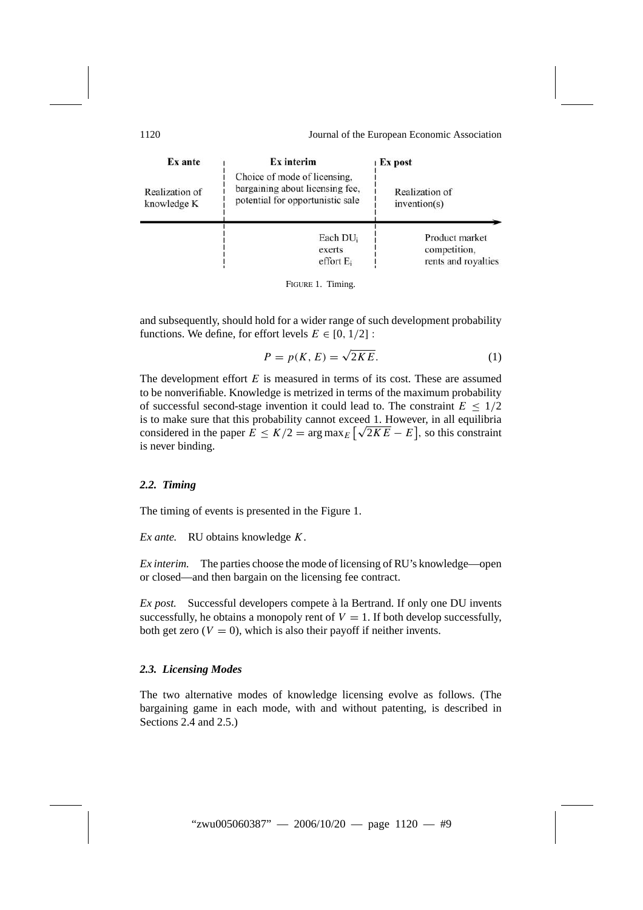1120 Journal of the European Economic Association



FIGURE 1. Timing.

and subsequently, should hold for a wider range of such development probability functions. We define, for effort levels  $E \in [0, 1/2]$ :

$$
P = p(K, E) = \sqrt{2KE}.
$$
 (1)

The development effort *E* is measured in terms of its cost. These are assumed to be nonverifiable. Knowledge is metrized in terms of the maximum probability of successful second-stage invention it could lead to. The constraint  $E \leq 1/2$ is to make sure that this probability cannot exceed 1. However, in all equilibria is to make sure that this probability cannot exceed 1. However, in all equilibria<br>considered in the paper  $E \leq K/2 = \arg \max_E \left[ \sqrt{2KE} - E \right]$ , so this constraint is never binding.

#### *2.2. Timing*

The timing of events is presented in the Figure 1.

*Ex ante.* RU obtains knowledge *K*.

*Ex interim.* The parties choose the mode of licensing of RU's knowledge—open or closed—and then bargain on the licensing fee contract.

*Ex post.* Successful developers compete à la Bertrand. If only one DU invents successfully, he obtains a monopoly rent of  $V = 1$ . If both develop successfully, both get zero  $(V = 0)$ , which is also their payoff if neither invents.

#### *2.3. Licensing Modes*

The two alternative modes of knowledge licensing evolve as follows. (The bargaining game in each mode, with and without patenting, is described in Sections 2.4 and 2.5.)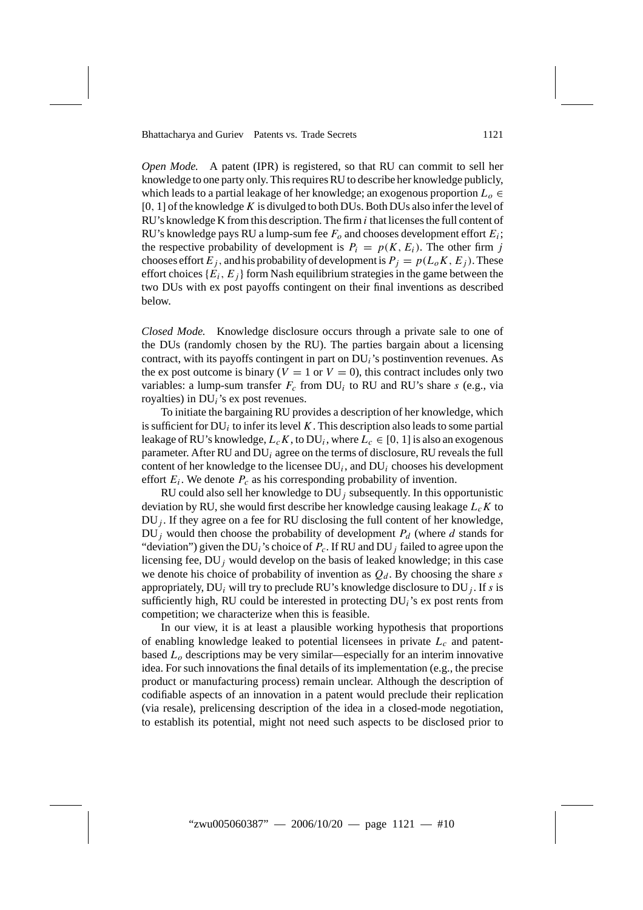*Open Mode.* A patent (IPR) is registered, so that RU can commit to sell her knowledge to one party only. This requires RU to describe her knowledge publicly, which leads to a partial leakage of her knowledge; an exogenous proportion  $L_0 \in$ [0*,* 1] of the knowledge *K* is divulged to both DUs. Both DUs also infer the level of RU's knowledge K from this description. The firm*i* that licenses the full content of RU's knowledge pays RU a lump-sum fee  $F<sub>o</sub>$  and chooses development effort  $E<sub>i</sub>$ ; the respective probability of development is  $P_i = p(K, E_i)$ . The other firm *j* chooses effort  $E_j$ , and his probability of development is  $P_j = p(L_o K, E_j)$ . These effort choices  $\{E_i, E_j\}$  form Nash equilibrium strategies in the game between the two DUs with ex post payoffs contingent on their final inventions as described below.

*Closed Mode.* Knowledge disclosure occurs through a private sale to one of the DUs (randomly chosen by the RU). The parties bargain about a licensing contract, with its payoffs contingent in part on DU*i*'s postinvention revenues. As the ex post outcome is binary ( $V = 1$  or  $V = 0$ ), this contract includes only two variables: a lump-sum transfer  $F_c$  from  $DU_i$  to RU and RU's share *s* (e.g., via royalties) in DU*i*'s ex post revenues.

To initiate the bargaining RU provides a description of her knowledge, which is sufficient for DU*<sup>i</sup>* to infer its level *K*. This description also leads to some partial leakage of RU's knowledge,  $L_c K$ , to  $DU_i$ , where  $L_c \in [0, 1]$  is also an exogenous parameter. After RU and DU*<sup>i</sup>* agree on the terms of disclosure, RU reveals the full content of her knowledge to the licensee DU*i*, and DU*<sup>i</sup>* chooses his development effort  $E_i$ . We denote  $P_c$  as his corresponding probability of invention.

RU could also sell her knowledge to DU*<sup>j</sup>* subsequently. In this opportunistic deviation by RU, she would first describe her knowledge causing leakage  $L_c K$  to DU<sub>j</sub>. If they agree on a fee for RU disclosing the full content of her knowledge,  $DU_j$  would then choose the probability of development  $P_d$  (where *d* stands for "deviation") given the DU<sub>i</sub>'s choice of  $P_c$ . If RU and DU<sub>i</sub> failed to agree upon the licensing fee, DU*<sup>j</sup>* would develop on the basis of leaked knowledge; in this case we denote his choice of probability of invention as  $Q_d$ . By choosing the share *s* appropriately, DU*<sup>i</sup>* will try to preclude RU's knowledge disclosure to DU*<sup>j</sup>* . If *s* is sufficiently high, RU could be interested in protecting DU*i*'s ex post rents from competition; we characterize when this is feasible.

In our view, it is at least a plausible working hypothesis that proportions of enabling knowledge leaked to potential licensees in private *Lc* and patentbased *Lo* descriptions may be very similar—especially for an interim innovative idea. For such innovations the final details of its implementation (e.g., the precise product or manufacturing process) remain unclear. Although the description of codifiable aspects of an innovation in a patent would preclude their replication (via resale), prelicensing description of the idea in a closed-mode negotiation, to establish its potential, might not need such aspects to be disclosed prior to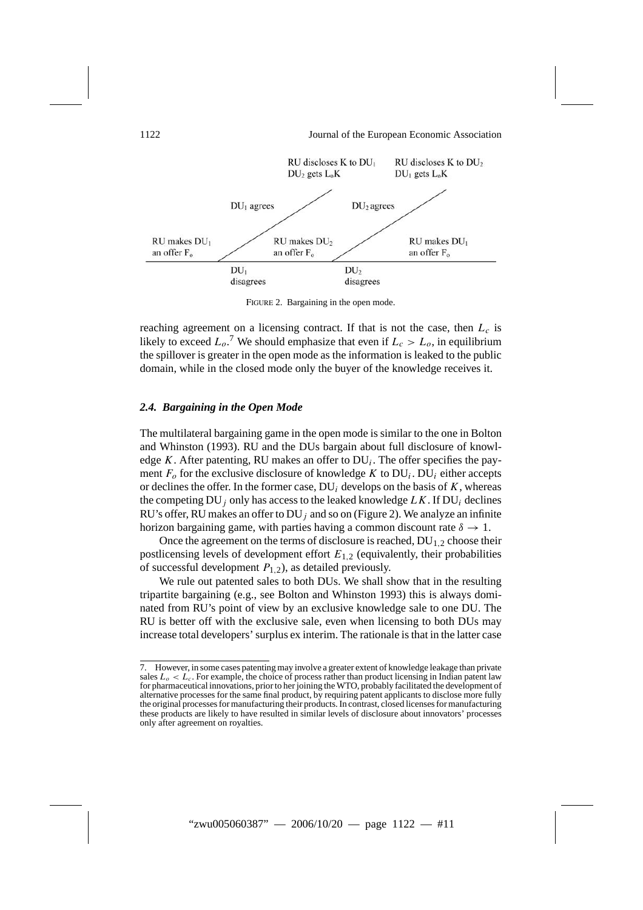1122 Journal of the European Economic Association



FIGURE 2. Bargaining in the open mode.

reaching agreement on a licensing contract. If that is not the case, then  $L_c$  is likely to exceed  $L_o$ .<sup>7</sup> We should emphasize that even if  $L_c > L_o$ , in equilibrium the spillover is greater in the open mode as the information is leaked to the public domain, while in the closed mode only the buyer of the knowledge receives it.

#### *2.4. Bargaining in the Open Mode*

The multilateral bargaining game in the open mode is similar to the one in Bolton and Whinston (1993). RU and the DUs bargain about full disclosure of knowledge  $K$ . After patenting, RU makes an offer to  $DU_i$ . The offer specifies the payment  $F_0$  for the exclusive disclosure of knowledge  $K$  to  $DU_i$ .  $DU_i$  either accepts or declines the offer. In the former case, DU*<sup>i</sup>* develops on the basis of *K*, whereas the competing DU<sub>*i*</sub> only has access to the leaked knowledge  $LK$ . If DU<sub>*i*</sub> declines RU's offer, RU makes an offer to DU*<sup>j</sup>* and so on (Figure 2). We analyze an infinite horizon bargaining game, with parties having a common discount rate  $\delta \rightarrow 1$ .

Once the agreement on the terms of disclosure is reached,  $DU_{1,2}$  choose their postlicensing levels of development effort  $E_{1,2}$  (equivalently, their probabilities of successful development *P*1*,*2), as detailed previously.

We rule out patented sales to both DUs. We shall show that in the resulting tripartite bargaining (e.g., see Bolton and Whinston 1993) this is always dominated from RU's point of view by an exclusive knowledge sale to one DU. The RU is better off with the exclusive sale, even when licensing to both DUs may increase total developers' surplus ex interim. The rationale is that in the latter case

<sup>7.</sup> However, in some cases patenting may involve a greater extent of knowledge leakage than private sales  $L_o < L_c$ . For example, the choice of process rather than product licensing in Indian patent law for pharmaceutical innovations, prior to her joining the WTO, probably facilitated the development of alternative processes for the same final product, by requiring patent applicants to disclose more fully the original processes for manufacturing their products. In contrast, closed licenses for manufacturing these products are likely to have resulted in similar levels of disclosure about innovators' processes only after agreement on royalties.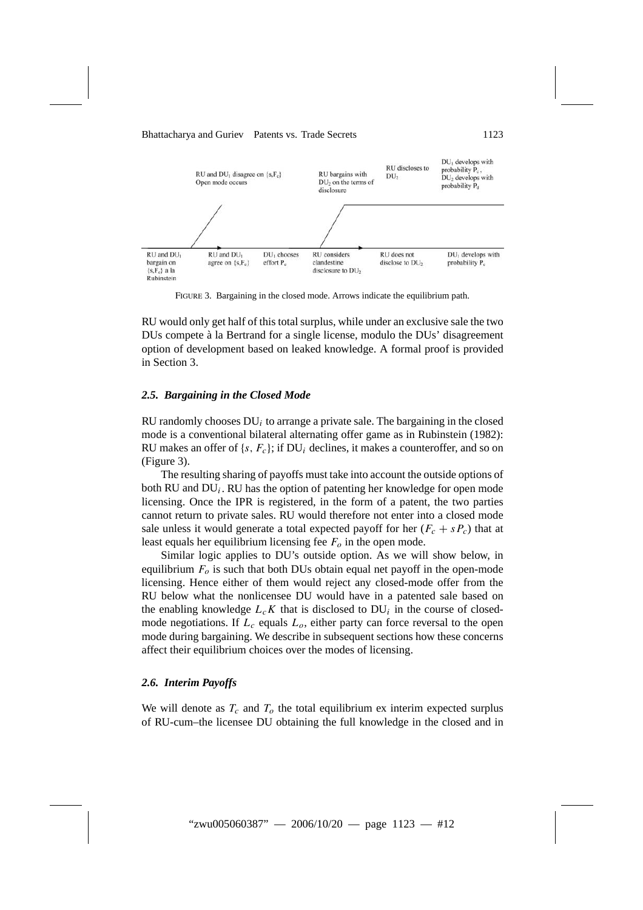

Figure 3. Bargaining in the closed mode. Arrows indicate the equilibrium path.

RU would only get half of this total surplus, while under an exclusive sale the two DUs compete à la Bertrand for a single license, modulo the DUs' disagreement option of development based on leaked knowledge. A formal proof is provided in Section 3.

#### *2.5. Bargaining in the Closed Mode*

RU randomly chooses DU*<sup>i</sup>* to arrange a private sale. The bargaining in the closed mode is a conventional bilateral alternating offer game as in Rubinstein (1982): RU makes an offer of  $\{s, F_c\}$ ; if  $DU_i$  declines, it makes a counteroffer, and so on (Figure 3).

The resulting sharing of payoffs must take into account the outside options of both RU and DU*i*. RU has the option of patenting her knowledge for open mode licensing. Once the IPR is registered, in the form of a patent, the two parties cannot return to private sales. RU would therefore not enter into a closed mode sale unless it would generate a total expected payoff for her  $(F_c + s P_c)$  that at least equals her equilibrium licensing fee  $F<sub>o</sub>$  in the open mode.

Similar logic applies to DU's outside option. As we will show below, in equilibrium  $F<sub>o</sub>$  is such that both DUs obtain equal net payoff in the open-mode licensing. Hence either of them would reject any closed-mode offer from the RU below what the nonlicensee DU would have in a patented sale based on the enabling knowledge  $L_c K$  that is disclosed to  $DU_i$  in the course of closedmode negotiations. If  $L_c$  equals  $L<sub>o</sub>$ , either party can force reversal to the open mode during bargaining. We describe in subsequent sections how these concerns affect their equilibrium choices over the modes of licensing.

#### *2.6. Interim Payoffs*

We will denote as  $T_c$  and  $T<sub>o</sub>$  the total equilibrium ex interim expected surplus of RU-cum–the licensee DU obtaining the full knowledge in the closed and in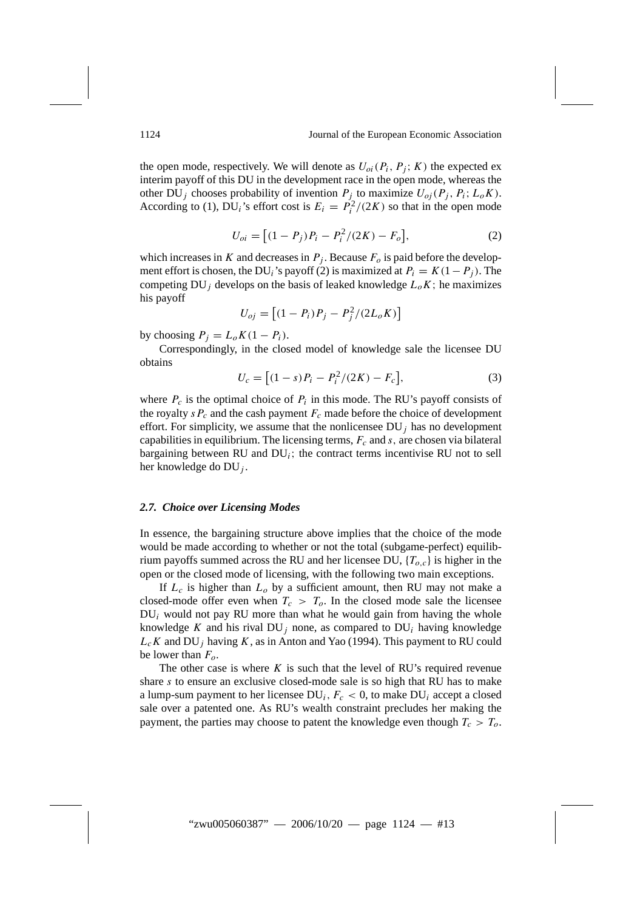the open mode, respectively. We will denote as  $U_{oi}(P_i, P_j; K)$  the expected ex interim payoff of this DU in the development race in the open mode, whereas the other DU<sub>*j*</sub> chooses probability of invention  $P_j$  to maximize  $U_{oj}(P_j, P_i; L_o K)$ . According to (1),  $DU_i$ 's effort cost is  $E_i = P_i^2/(2K)$  so that in the open mode

$$
U_{oi} = [(1 - P_j)P_i - P_i^2/(2K) - F_o],
$$
\n(2)

which increases in *K* and decreases in  $P_i$ . Because  $F_o$  is paid before the development effort is chosen, the DU<sub>i</sub>'s payoff (2) is maximized at  $P_i = K(1 - P_j)$ . The competing DU<sub>j</sub> develops on the basis of leaked knowledge  $L_oK$ ; he maximizes his payoff

$$
U_{oj} = [(1 - P_i)P_j - P_j^2/(2L_o K)]
$$

by choosing  $P_i = L_o K(1 - P_i)$ .

Correspondingly, in the closed model of knowledge sale the licensee DU obtains

$$
U_c = [(1 - s)P_i - P_i^2/(2K) - F_c],
$$
\n(3)

where  $P_c$  is the optimal choice of  $P_i$  in this mode. The RU's payoff consists of the royalty  $sP_c$  and the cash payment  $F_c$  made before the choice of development effort. For simplicity, we assume that the nonlicensee  $DU<sub>j</sub>$  has no development capabilities in equilibrium. The licensing terms,  $F_c$  and  $s$ , are chosen via bilateral bargaining between RU and DU*i*; the contract terms incentivise RU not to sell her knowledge do DU*<sup>j</sup>* .

#### *2.7. Choice over Licensing Modes*

In essence, the bargaining structure above implies that the choice of the mode would be made according to whether or not the total (subgame-perfect) equilibrium payoffs summed across the RU and her licensee DU, {*To,c*} is higher in the open or the closed mode of licensing, with the following two main exceptions.

If  $L_c$  is higher than  $L<sub>o</sub>$  by a sufficient amount, then RU may not make a closed-mode offer even when  $T_c > T_o$ . In the closed mode sale the licensee  $DU_i$  would not pay RU more than what he would gain from having the whole knowledge *K* and his rival DU<sub>*i*</sub> none, as compared to DU<sub>*i*</sub> having knowledge  $L_c K$  and DU<sub>j</sub> having K, as in Anton and Yao (1994). This payment to RU could be lower than  $F<sub>o</sub>$ .

The other case is where  $K$  is such that the level of RU's required revenue share *s* to ensure an exclusive closed-mode sale is so high that RU has to make a lump-sum payment to her licensee  $DU_i$ ,  $F_c < 0$ , to make  $DU_i$  accept a closed sale over a patented one. As RU's wealth constraint precludes her making the payment, the parties may choose to patent the knowledge even though  $T_c > T_o$ .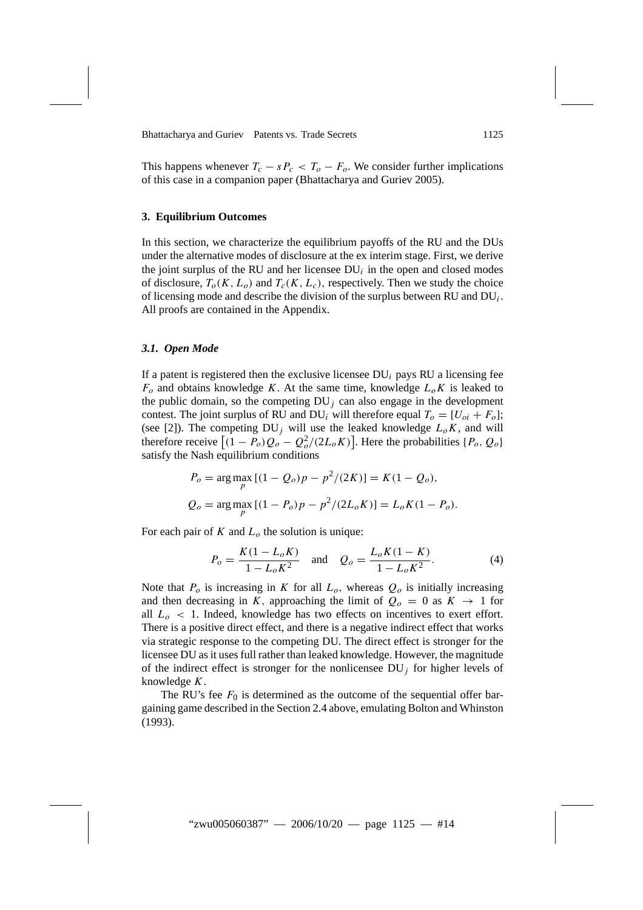This happens whenever  $T_c - s P_c < T_o - F_o$ . We consider further implications of this case in a companion paper (Bhattacharya and Guriev 2005).

#### **3. Equilibrium Outcomes**

In this section, we characterize the equilibrium payoffs of the RU and the DUs under the alternative modes of disclosure at the ex interim stage. First, we derive the joint surplus of the RU and her licensee  $DU_i$  in the open and closed modes of disclosure,  $T_o(K, L_o)$  and  $T_c(K, L_c)$ , respectively. Then we study the choice of licensing mode and describe the division of the surplus between RU and DU*i*. All proofs are contained in the Appendix.

#### *3.1. Open Mode*

If a patent is registered then the exclusive licensee  $DU_i$  pays RU a licensing fee  $F<sub>o</sub>$  and obtains knowledge *K*. At the same time, knowledge  $L<sub>o</sub>K$  is leaked to the public domain, so the competing  $DU_j$  can also engage in the development contest. The joint surplus of RU and DU<sub>i</sub> will therefore equal  $T_o = [U_{oi} + F_o]$ ; (see [2]). The competing  $DU_j$  will use the leaked knowledge  $L_oK$ , and will therefore receive  $[(1 - P_o)Q_o - Q_o^2/(2L_o K)]$ . Here the probabilities  $\{P_o, Q_o\}$ satisfy the Nash equilibrium conditions

$$
P_o = \arg\max_p \left[ (1 - Q_o)p - p^2/(2K) \right] = K(1 - Q_o),
$$
  

$$
Q_o = \arg\max_p \left[ (1 - P_o)p - p^2/(2L_o K) \right] = L_o K(1 - P_o).
$$

For each pair of  $K$  and  $L_0$  the solution is unique:

$$
P_o = \frac{K(1 - L_o K)}{1 - L_o K^2} \quad \text{and} \quad Q_o = \frac{L_o K (1 - K)}{1 - L_o K^2}.
$$
 (4)

Note that  $P<sub>o</sub>$  is increasing in *K* for all  $L<sub>o</sub>$ , whereas  $Q<sub>o</sub>$  is initially increasing and then decreasing in *K*, approaching the limit of  $Q_o = 0$  as  $K \rightarrow 1$  for all  $L<sub>o</sub>$  < 1. Indeed, knowledge has two effects on incentives to exert effort. There is a positive direct effect, and there is a negative indirect effect that works via strategic response to the competing DU. The direct effect is stronger for the licensee DU as it uses full rather than leaked knowledge. However, the magnitude of the indirect effect is stronger for the nonlicensee  $DU_j$  for higher levels of knowledge *K*.

The RU's fee  $F_0$  is determined as the outcome of the sequential offer bargaining game described in the Section 2.4 above, emulating Bolton and Whinston (1993).

"zwu005060387" — 2006/10/20 — page  $1125 - #14$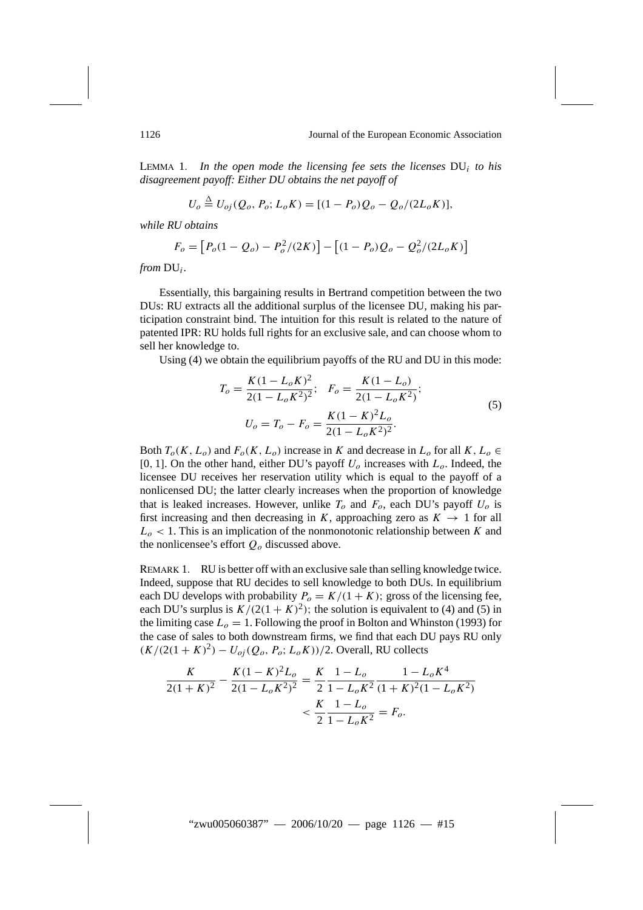Lemma 1. *In the open mode the licensing fee sets the licenses* DU*<sup>i</sup> to his disagreement payoff: Either DU obtains the net payoff of*

$$
U_o \stackrel{\Delta}{=} U_{oj}(Q_o, P_o; L_o K) = [(1 - P_o)Q_o - Q_o/(2L_o K)],
$$

*while RU obtains*

$$
F_o = [P_o(1 - Q_o) - P_o^2/(2K)] - [(1 - P_o)Q_o - Q_o^2/(2L_oK)]
$$

*from* DU*i.*

Essentially, this bargaining results in Bertrand competition between the two DUs: RU extracts all the additional surplus of the licensee DU, making his participation constraint bind. The intuition for this result is related to the nature of patented IPR: RU holds full rights for an exclusive sale, and can choose whom to sell her knowledge to.

Using (4) we obtain the equilibrium payoffs of the RU and DU in this mode:

$$
T_o = \frac{K(1 - L_o K)^2}{2(1 - L_o K^2)^2}; \quad F_o = \frac{K(1 - L_o)}{2(1 - L_o K^2)};
$$
  
\n
$$
U_o = T_o - F_o = \frac{K(1 - K)^2 L_o}{2(1 - L_o K^2)^2}.
$$
\n(5)

Both  $T_o(K, L_o)$  and  $F_o(K, L_o)$  increase in *K* and decrease in  $L_o$  for all  $K, L_o \in$ [0*,* 1]. On the other hand, either DU's payoff *Uo* increases with *Lo*. Indeed, the licensee DU receives her reservation utility which is equal to the payoff of a nonlicensed DU; the latter clearly increases when the proportion of knowledge that is leaked increases. However, unlike  $T_o$  and  $F_o$ , each DU's payoff  $U_o$  is first increasing and then decreasing in *K*, approaching zero as  $K \rightarrow 1$  for all  $L_0$  < 1. This is an implication of the nonmonotonic relationship between *K* and the nonlicensee's effort *Qo* discussed above.

REMARK 1. RU is better off with an exclusive sale than selling knowledge twice. Indeed, suppose that RU decides to sell knowledge to both DUs. In equilibrium each DU develops with probability  $P_o = K/(1 + K)$ ; gross of the licensing fee, each DU's surplus is  $K/(2(1 + K)^2)$ ; the solution is equivalent to (4) and (5) in the limiting case  $L<sub>o</sub> = 1$ . Following the proof in Bolton and Whinston (1993) for the case of sales to both downstream firms, we find that each DU pays RU only  $(K/(2(1+K)^2) - U_{oj}(Q_o, P_o; L_o K))/2$ . Overall, RU collects

$$
\frac{K}{2(1+K)^2} - \frac{K(1-K)^2 L_o}{2(1-L_o K^2)^2} = \frac{K}{2} \frac{1-L_o}{1-L_o K^2} \frac{1-L_o K^4}{(1+K)^2(1-L_o K^2)}
$$

$$
< \frac{K}{2} \frac{1-L_o}{1-L_o K^2} = F_o.
$$

"zwu005060387" — 2006/10/20 — page  $1126 - #15$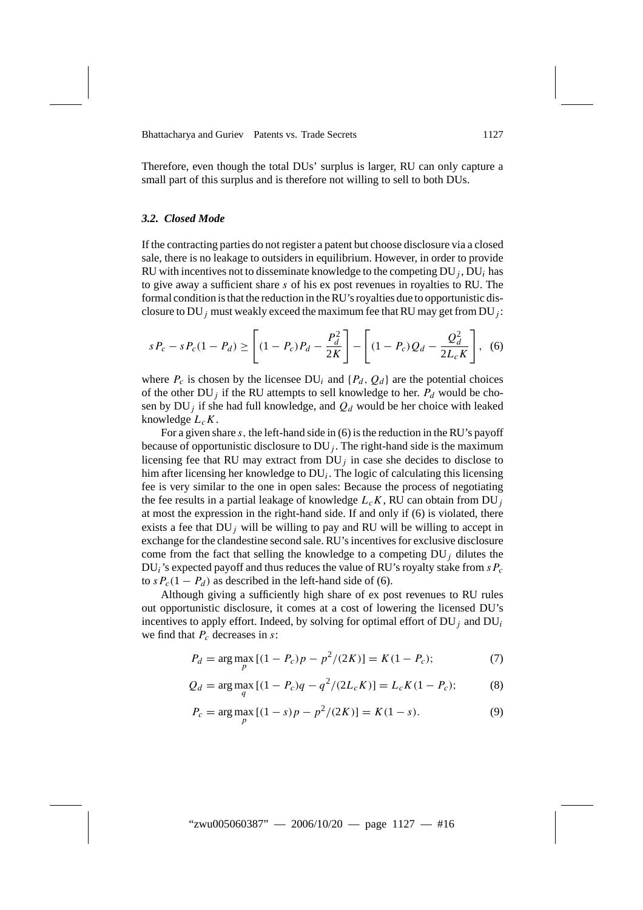Therefore, even though the total DUs' surplus is larger, RU can only capture a small part of this surplus and is therefore not willing to sell to both DUs.

#### *3.2. Closed Mode*

If the contracting parties do not register a patent but choose disclosure via a closed sale, there is no leakage to outsiders in equilibrium. However, in order to provide RU with incentives not to disseminate knowledge to the competing  $DU_j$ ,  $DU_i$  has to give away a sufficient share *s* of his ex post revenues in royalties to RU. The formal condition is that the reduction in the RU's royalties due to opportunistic disclosure to DU*<sup>j</sup>* must weakly exceed the maximum fee that RU may get from DU*<sup>j</sup>* :

$$
sP_c - sP_c(1 - P_d) \ge \left[ (1 - P_c)P_d - \frac{P_d^2}{2K} \right] - \left[ (1 - P_c)Q_d - \frac{Q_d^2}{2L_cK} \right], \tag{6}
$$

where  $P_c$  is chosen by the licensee DU<sub>i</sub> and  $\{P_d, Q_d\}$  are the potential choices of the other  $DU_j$  if the RU attempts to sell knowledge to her.  $P_d$  would be chosen by  $DU_j$  if she had full knowledge, and  $Q_d$  would be her choice with leaked knowledge  $L_c K$ .

For a given share *s,* the left-hand side in (6) is the reduction in the RU's payoff because of opportunistic disclosure to  $DU_j$ . The right-hand side is the maximum licensing fee that RU may extract from  $DU_j$  in case she decides to disclose to him after licensing her knowledge to DU*i*. The logic of calculating this licensing fee is very similar to the one in open sales: Because the process of negotiating the fee results in a partial leakage of knowledge  $L_c K$ , RU can obtain from DU<sub>j</sub> at most the expression in the right-hand side. If and only if (6) is violated, there exists a fee that DU*<sup>j</sup>* will be willing to pay and RU will be willing to accept in exchange for the clandestine second sale. RU's incentives for exclusive disclosure come from the fact that selling the knowledge to a competing  $DU_j$  dilutes the  $DU<sub>i</sub>$ 's expected payoff and thus reduces the value of RU's royalty stake from  $sP<sub>c</sub>$ to  $sP_c(1 - P_d)$  as described in the left-hand side of (6).

Although giving a sufficiently high share of ex post revenues to RU rules out opportunistic disclosure, it comes at a cost of lowering the licensed DU's incentives to apply effort. Indeed, by solving for optimal effort of DU*<sup>j</sup>* and DU*<sup>i</sup>* we find that *Pc* decreases in *s*:

$$
P_d = \arg \max_p \left[ (1 - P_c)p - p^2/(2K) \right] = K(1 - P_c); \tag{7}
$$

$$
Q_d = \arg \max_{q} \left[ (1 - P_c)q - q^2/(2L_c K) \right] = L_c K (1 - P_c); \tag{8}
$$

$$
P_c = \arg \max_{p} \left[ (1 - s)p - p^2 / (2K) \right] = K(1 - s). \tag{9}
$$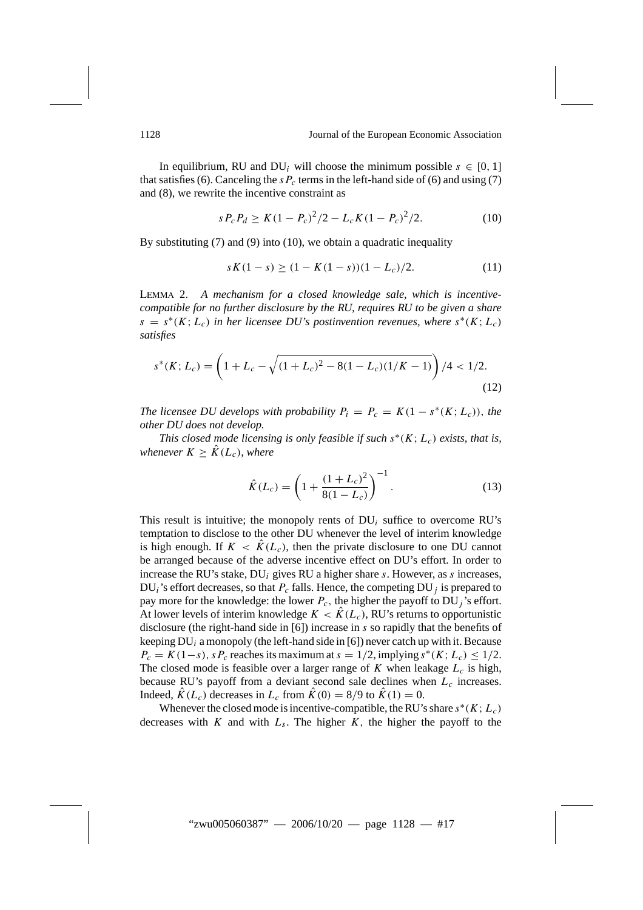In equilibrium, RU and  $DU_i$  will choose the minimum possible  $s \in [0, 1]$ that satisfies (6). Canceling the  $sP_c$  terms in the left-hand side of (6) and using (7) and (8), we rewrite the incentive constraint as

$$
sP_cP_d \ge K(1 - P_c)^2/2 - L_cK(1 - P_c)^2/2.
$$
 (10)

By substituting (7) and (9) into (10), we obtain a quadratic inequality

$$
sK(1-s) \ge (1 - K(1-s))(1 - L_c)/2. \tag{11}
$$

Lemma 2. *A mechanism for a closed knowledge sale, which is incentivecompatible for no further disclosure by the RU, requires RU to be given a share*  $s = s^*(K; L_c)$  *in her licensee DU's postinvention revenues, where*  $s^*(K; L_c)$ *satisfies*

$$
s^*(K; L_c) = \left(1 + L_c - \sqrt{(1 + L_c)^2 - 8(1 - L_c)(1/K - 1)}\right)/4 < 1/2.
$$
\n(12)

*The licensee DU develops with probability*  $P_i = P_c = K(1 - s^*(K; L_c))$ , the *other DU does not develop.*

*This closed mode licensing is only feasible if such*  $s^*(K; L_c)$  *exists, that is, whenever*  $K \geq \hat{K}(L_c)$ *, where* 

$$
\hat{K}(L_c) = \left(1 + \frac{(1 + L_c)^2}{8(1 - L_c)}\right)^{-1}.
$$
\n(13)

This result is intuitive; the monopoly rents of  $DU_i$  suffice to overcome RU's temptation to disclose to the other DU whenever the level of interim knowledge is high enough. If  $K < K(L_c)$ , then the private disclosure to one DU cannot be arranged because of the adverse incentive effect on DU's effort. In order to increase the RU's stake, DU*<sup>i</sup>* gives RU a higher share *s*. However, as *s* increases,  $DU_i$ 's effort decreases, so that  $P_c$  falls. Hence, the competing  $DU_j$  is prepared to pay more for the knowledge: the lower *Pc,* the higher the payoff to DU*<sup>j</sup>* 's effort. At lower levels of interim knowledge  $K < \hat{K}(L_c)$ , RU's returns to opportunistic disclosure (the right-hand side in [6]) increase in *s* so rapidly that the benefits of keeping DU*<sup>i</sup>* a monopoly (the left-hand side in [6]) never catch up with it. Because  $P_c = K(1-s)$ , *s* $P_c$  reaches its maximum at  $s = 1/2$ , implying  $s^*(K; L_c) \leq 1/2$ . The closed mode is feasible over a larger range of  $K$  when leakage  $L_c$  is high, because RU's payoff from a deviant second sale declines when  $L_c$  increases. Indeed,  $\hat{K}(L_c)$  decreases in  $L_c$  from  $\hat{K}(0) = 8/9$  to  $\hat{K}(1) = 0$ .

Whenever the closed mode is incentive-compatible, the RU's share  $s^*(K; L_c)$ decreases with  $K$  and with  $L<sub>s</sub>$ . The higher  $K$ , the higher the payoff to the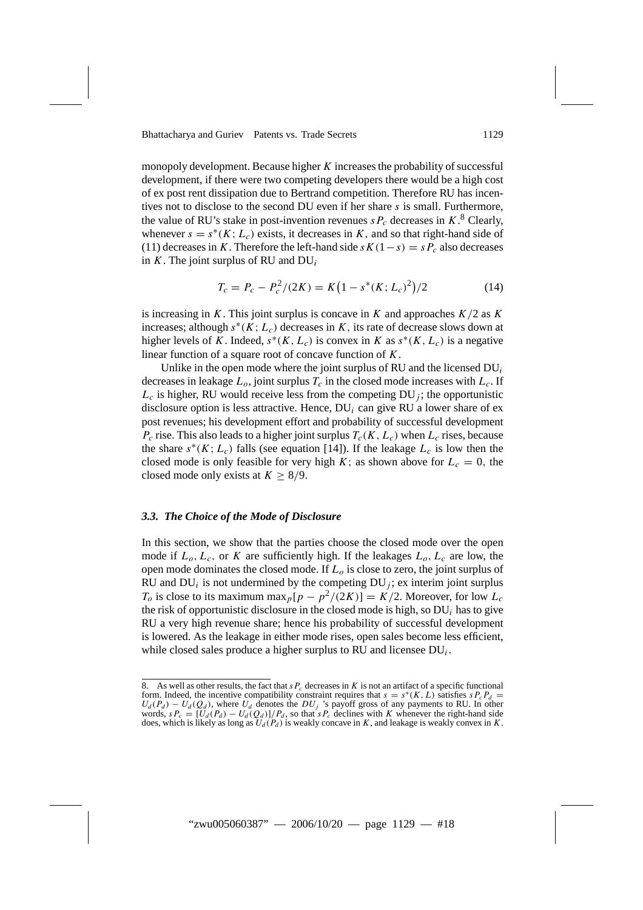monopoly development. Because higher *K* increases the probability of successful development, if there were two competing developers there would be a high cost of ex post rent dissipation due to Bertrand competition. Therefore RU has incentives not to disclose to the second DU even if her share *s* is small. Furthermore, the value of RU's stake in post-invention revenues  $sP_c$  decreases in  $K$ <sup>8</sup>. Clearly, whenever  $s = s^*(K; L_c)$  exists, it decreases in K, and so that right-hand side of (11) decreases in *K*. Therefore the left-hand side *sK*(1−*s)* =  $sP_c$  also decreases in *K*. The joint surplus of RU and DU*<sup>i</sup>*

$$
T_c = P_c - P_c^2/(2K) = K\left(1 - s^*(K; L_c)^2\right)/2\tag{14}
$$

is increasing in *K*. This joint surplus is concave in *K* and approaches *K/*2 as *K* increases; although  $s^*(K; L_c)$  decreases in K, its rate of decrease slows down at higher levels of *K*. Indeed,  $s^*(K, L_c)$  is convex in *K* as  $s^*(K, L_c)$  is a negative linear function of a square root of concave function of *K*.

Unlike in the open mode where the joint surplus of RU and the licensed DU*<sup>i</sup>* decreases in leakage  $L_o$ , joint surplus  $T_c$  in the closed mode increases with  $L_c$ . If  $L_c$  is higher, RU would receive less from the competing DU<sub>*j*</sub>; the opportunistic disclosure option is less attractive. Hence,  $DU_i$  can give RU a lower share of ex post revenues; his development effort and probability of successful development  $P_c$  rise. This also leads to a higher joint surplus  $T_c(K, L_c)$  when  $L_c$  rises, because the share  $s^*(K; L_c)$  falls (see equation [14]). If the leakage  $L_c$  is low then the closed mode is only feasible for very high *K*; as shown above for  $L_c = 0$ , the closed mode only exists at  $K \geq 8/9$ .

#### *3.3. The Choice of the Mode of Disclosure*

In this section, we show that the parties choose the closed mode over the open mode if  $L_0$ ,  $L_c$ , or K are sufficiently high. If the leakages  $L_0$ ,  $L_c$  are low, the open mode dominates the closed mode. If  $L<sub>o</sub>$  is close to zero, the joint surplus of RU and  $DU_i$  is not undermined by the competing  $DU_j$ ; ex interim joint surplus  $T_o$  is close to its maximum max<sub>*p*</sub>[ $p - p^2/(2K)$ ] =  $K/2$ . Moreover, for low  $L_c$ the risk of opportunistic disclosure in the closed mode is high, so DU*<sup>i</sup>* has to give RU a very high revenue share; hence his probability of successful development is lowered. As the leakage in either mode rises, open sales become less efficient, while closed sales produce a higher surplus to RU and licensee DU*i*.

<sup>8.</sup> As well as other results, the fact that  $sP_c$  decreases in  $K$  is not an artifact of a specific functional form. Indeed, the incentive compatibility constraint requires that  $s = s^*(K, L)$  satisfies  $sP_cP_d$  =  $U_d(P_d) - U_d(Q_d)$ , where  $U_d$  denotes the  $DU_j$  's payoff gross of any payments to RU. In other words,  $sP_c = [U_d(P_d) - U_d(Q_d)]/P_d$ , so that  $sP_c$  declines with *K* whenever the right-hand side does, which is likely as long as  $U_d(P_d)$  is weakly concave in *K*, and leakage is weakly convex in *K*.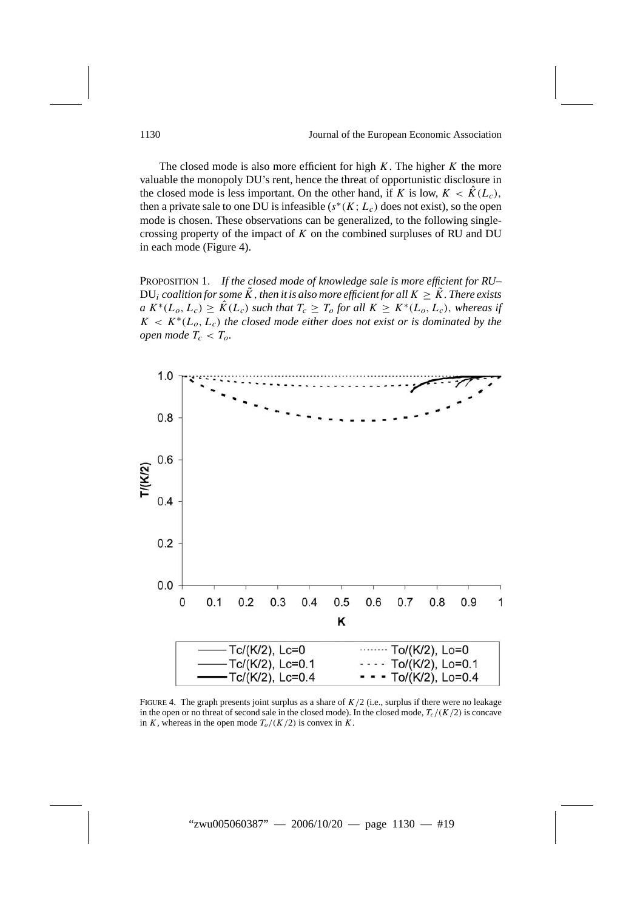The closed mode is also more efficient for high *K*. The higher *K* the more valuable the monopoly DU's rent, hence the threat of opportunistic disclosure in the closed mode is less important. On the other hand, if *K* is low,  $K < \hat{K}(L_c)$ , then a private sale to one DU is infeasible  $(s^*(K; L_c))$  does not exist), so the open mode is chosen. These observations can be generalized, to the following singlecrossing property of the impact of *K* on the combined surpluses of RU and DU in each mode (Figure 4).

Proposition 1. *If the closed mode of knowledge sale is more efficient for RU–*  $DU_i$  *coalition for some*  $\tilde{K}$ *, then it is also more efficient for all*  $K \geq \tilde{K}$ *. There exists*  $a K^*(L_o, L_c) \geq \hat{K}(L_c)$  *such that*  $T_c \geq T_o$  *for all*  $K \geq K^*(L_o, L_c)$ *, whereas if*  $K < K^*(L_o, L_c)$  *the closed mode either does not exist or is dominated by the open mode*  $T_c < T_o$ .



FIGURE 4. The graph presents joint surplus as a share of  $K/2$  (i.e., surplus if there were no leakage in the open or no threat of second sale in the closed mode). In the closed mode,  $T_c/(K/2)$  is concave in *K*, whereas in the open mode  $T_o/(K/2)$  is convex in *K*.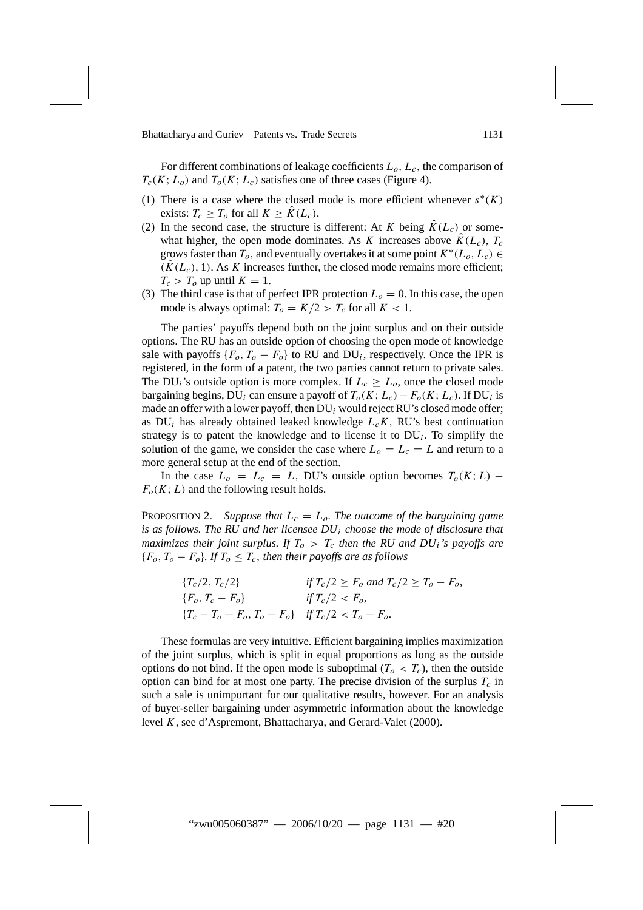For different combinations of leakage coefficients *Lo, Lc,* the comparison of  $T_c(K; L_o)$  and  $T_o(K; L_c)$  satisfies one of three cases (Figure 4).

- (1) There is a case where the closed mode is more efficient whenever  $s^*(K)$ exists:  $T_c \geq T_o$  for all  $K \geq K(L_c)$ .
- (2) In the second case, the structure is different: At *K* being  $\hat{K}(L_c)$  or somewhat higher, the open mode dominates. As *K* increases above  $\hat{K}(L_c)$ ,  $T_c$ grows faster than  $T_o$ , and eventually overtakes it at some point  $K^*(L_o, L_c) \in$  $(K(L_c), 1)$ . As *K* increases further, the closed mode remains more efficient;  $T_c > T_o$  up until  $K = 1$ .
- (3) The third case is that of perfect IPR protection  $L<sub>o</sub> = 0$ . In this case, the open mode is always optimal:  $T_o = K/2 > T_c$  for all  $K < 1$ .

The parties' payoffs depend both on the joint surplus and on their outside options. The RU has an outside option of choosing the open mode of knowledge sale with payoffs  ${F_o, T_o - F_o}$  to RU and DU<sub>i</sub>, respectively. Once the IPR is registered, in the form of a patent, the two parties cannot return to private sales. The DU<sub>i</sub>'s outside option is more complex. If  $L_c \ge L_o$ , once the closed mode bargaining begins, DU<sub>i</sub> can ensure a payoff of  $T_o(K; L_c) - F_o(K; L_c)$ . If DU<sub>i</sub> is made an offer with a lower payoff, then  $DU_i$  would reject RU's closed mode offer; as  $DU_i$  has already obtained leaked knowledge  $L_cK$ , RU's best continuation strategy is to patent the knowledge and to license it to DU*i*. To simplify the solution of the game, we consider the case where  $L_0 = L_c = L$  and return to a more general setup at the end of the section.

In the case  $L<sub>o</sub> = L<sub>c</sub> = L$ , DU's outside option becomes  $T<sub>o</sub>(K; L)$  −  $F<sub>o</sub>(K; L)$  and the following result holds.

PROPOSITION 2. *Suppose that*  $L_c = L_o$ *. The outcome of the bargaining game is as follows. The RU and her licensee DU<sup>i</sup> choose the mode of disclosure that maximizes their joint surplus. If*  $T_o > T_c$  *then the RU and DU<sub>i</sub>*'s payoffs are  ${F_o, T_o - F_o}.$  *If*  $T_o \leq T_c$ , then their payoffs are as follows

| ${T_c/2, T_c/2}$                                | if $T_c/2 \geq F_o$ and $T_c/2 \geq T_o - F_o$ , |
|-------------------------------------------------|--------------------------------------------------|
| $\{F_o, T_c - F_o\}$                            | if $T_c/2 < F_o$ ,                               |
| ${T_c-T_o+F_o, T_o-F_o}$ if $T_c/2 < T_o-F_o$ . |                                                  |

These formulas are very intuitive. Efficient bargaining implies maximization of the joint surplus, which is split in equal proportions as long as the outside options do not bind. If the open mode is suboptimal  $(T_o < T_c)$ , then the outside option can bind for at most one party. The precise division of the surplus  $T_c$  in such a sale is unimportant for our qualitative results, however. For an analysis of buyer-seller bargaining under asymmetric information about the knowledge level *K*, see d'Aspremont, Bhattacharya, and Gerard-Valet (2000).

"zwu005060387" — 2006/10/20 — page  $1131 - 420$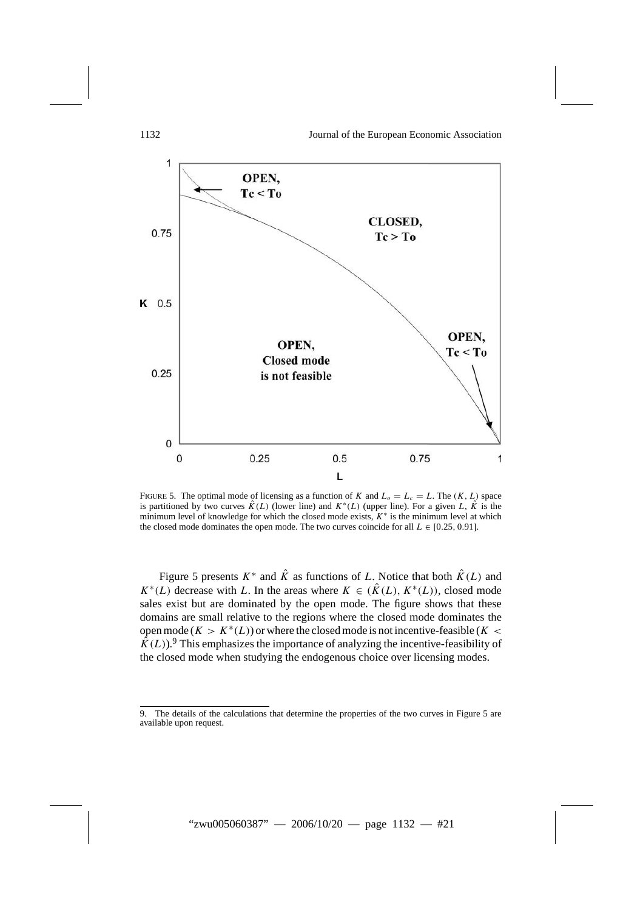1132 Journal of the European Economic Association



FIGURE 5. The optimal mode of licensing as a function of *K* and  $L_0 = L_c = L$ . The *(K, L)* space is partitioned by two curves  $\hat{K}(L)$  (lower line) and  $K^*(L)$  (upper line). For a given *L*,  $\hat{K}$  is the minimum level of knowledge for which the closed mode exists, *K*<sup>∗</sup> is the minimum level at which the closed mode dominates the open mode. The two curves coincide for all  $L \in [0.25, 0.91]$ .

Figure 5 presents  $K^*$  and  $\hat{K}$  as functions of *L*. Notice that both  $\hat{K}(L)$  and  $K^*(L)$  decrease with *L*. In the areas where  $K \in (\hat{K}(L), K^*(L))$ , closed mode sales exist but are dominated by the open mode. The figure shows that these domains are small relative to the regions where the closed mode dominates the open mode ( $K > K^*(L)$ ) or where the closed mode is not incentive-feasible ( $K <$  $\hat{K}(L)$ .<sup>9</sup> This emphasizes the importance of analyzing the incentive-feasibility of the closed mode when studying the endogenous choice over licensing modes.

"zwu005060387" — 2006/10/20 — page  $1132 - 421$ 

<sup>9.</sup> The details of the calculations that determine the properties of the two curves in Figure 5 are available upon request.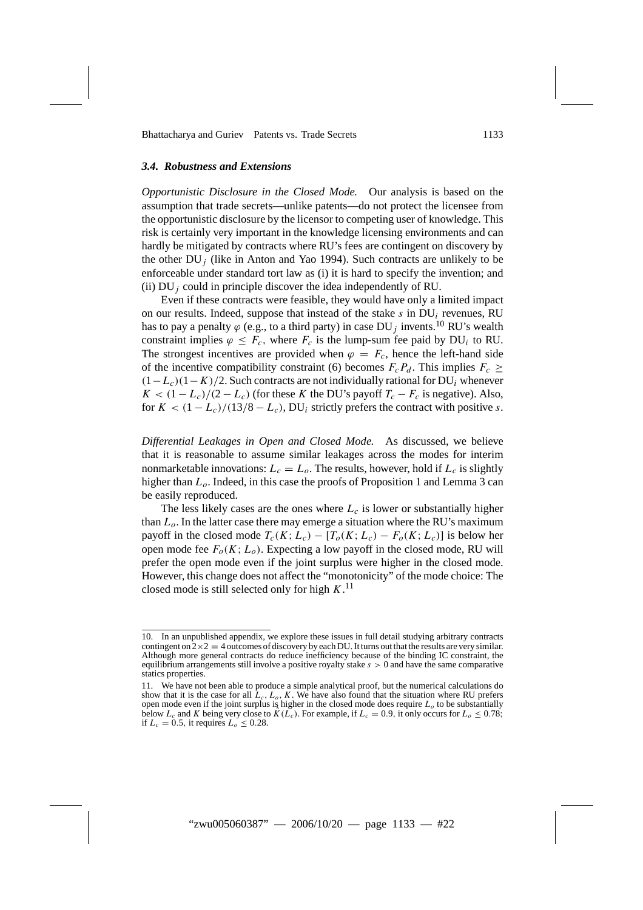#### *3.4. Robustness and Extensions*

*Opportunistic Disclosure in the Closed Mode.* Our analysis is based on the assumption that trade secrets—unlike patents—do not protect the licensee from the opportunistic disclosure by the licensor to competing user of knowledge. This risk is certainly very important in the knowledge licensing environments and can hardly be mitigated by contracts where RU's fees are contingent on discovery by the other  $DU_j$  (like in Anton and Yao 1994). Such contracts are unlikely to be enforceable under standard tort law as (i) it is hard to specify the invention; and (ii)  $DU_j$  could in principle discover the idea independently of RU.

Even if these contracts were feasible, they would have only a limited impact on our results. Indeed, suppose that instead of the stake *s* in DU*<sup>i</sup>* revenues, RU has to pay a penalty  $\varphi$  (e.g., to a third party) in case DU<sub>j</sub> invents.<sup>10</sup> RU's wealth constraint implies  $\varphi \leq F_c$ , where  $F_c$  is the lump-sum fee paid by DU<sub>i</sub> to RU. The strongest incentives are provided when  $\varphi = F_c$ , hence the left-hand side of the incentive compatibility constraint (6) becomes  $F_cP_d$ . This implies  $F_c \geq$  $(1 - L_c)(1 - K)/2$ . Such contracts are not individually rational for DU<sub>i</sub> whenever  $K < (1 - L_c)/(2 - L_c)$  (for these *K* the DU's payoff  $T_c - F_c$  is negative). Also, for  $K < (1 - L_c)/(13/8 - L_c)$ , DU<sub>i</sub> strictly prefers the contract with positive *s*.

*Differential Leakages in Open and Closed Mode.* As discussed, we believe that it is reasonable to assume similar leakages across the modes for interim nonmarketable innovations:  $L_c = L_o$ . The results, however, hold if  $L_c$  is slightly higher than  $L<sub>o</sub>$ . Indeed, in this case the proofs of Proposition 1 and Lemma 3 can be easily reproduced.

The less likely cases are the ones where  $L_c$  is lower or substantially higher than *Lo*. In the latter case there may emerge a situation where the RU's maximum payoff in the closed mode  $T_c(K; L_c) - [T_o(K; L_c) - F_o(K; L_c)]$  is below her open mode fee  $F_o(K; L_o)$ . Expecting a low payoff in the closed mode, RU will prefer the open mode even if the joint surplus were higher in the closed mode. However, this change does not affect the "monotonicity" of the mode choice: The closed mode is still selected only for high *K*. 11

"zwu005060387" — 2006/10/20 — page  $1133 - 422$ 

<sup>10.</sup> In an unpublished appendix, we explore these issues in full detail studying arbitrary contracts contingent on  $2\times2=4$  outcomes of discovery by each DU. It turns out that the results are very similar. Although more general contracts do reduce inefficiency because of the binding IC constraint, the equilibrium arrangements still involve a positive royalty stake *s >* 0 and have the same comparative statics properties.

<sup>11.</sup> We have not been able to produce a simple analytical proof, but the numerical calculations do show that it is the case for all  $\hat{L}_c$ ,  $L_o$ ,  $K$ . We have also found that the situation where RU prefers open mode even if the joint surplus is higher in the closed mode does require *Lo* to be substantially below  $L_c$  and *K* being very close to  $\hat{K}(L_c)$ . For example, if  $L_c = 0.9$ , it only occurs for  $L_o \le 0.78$ ; if  $L_c = 0.5$ , it requires  $L_o \le 0.28$ .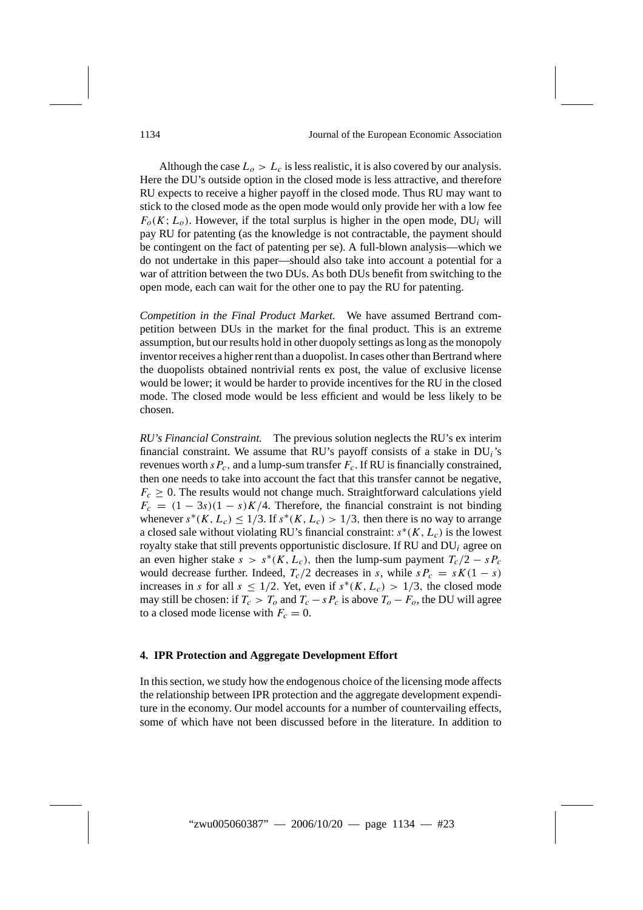Although the case  $L<sub>o</sub> > L<sub>c</sub>$  is less realistic, it is also covered by our analysis. Here the DU's outside option in the closed mode is less attractive, and therefore RU expects to receive a higher payoff in the closed mode. Thus RU may want to stick to the closed mode as the open mode would only provide her with a low fee  $F_o(K; L_o)$ . However, if the total surplus is higher in the open mode, DU<sub>i</sub> will pay RU for patenting (as the knowledge is not contractable, the payment should be contingent on the fact of patenting per se). A full-blown analysis—which we do not undertake in this paper—should also take into account a potential for a war of attrition between the two DUs. As both DUs benefit from switching to the open mode, each can wait for the other one to pay the RU for patenting.

*Competition in the Final Product Market.* We have assumed Bertrand competition between DUs in the market for the final product. This is an extreme assumption, but our results hold in other duopoly settings as long as the monopoly inventor receives a higher rent than a duopolist. In cases other than Bertrand where the duopolists obtained nontrivial rents ex post, the value of exclusive license would be lower; it would be harder to provide incentives for the RU in the closed mode. The closed mode would be less efficient and would be less likely to be chosen.

*RU's Financial Constraint.* The previous solution neglects the RU's ex interim financial constraint. We assume that RU's payoff consists of a stake in DU*i*'s revenues worth  $sP_c$ , and a lump-sum transfer  $F_c$ . If RU is financially constrained, then one needs to take into account the fact that this transfer cannot be negative,  $F_c \geq 0$ . The results would not change much. Straightforward calculations yield  $F_c = (1 - 3s)(1 - s)K/4$ . Therefore, the financial constraint is not binding whenever  $s^*(K, L_c) \leq 1/3$ . If  $s^*(K, L_c) > 1/3$ , then there is no way to arrange a closed sale without violating RU's financial constraint:  $s*(K, L_c)$  is the lowest royalty stake that still prevents opportunistic disclosure. If RU and DU*<sup>i</sup>* agree on an even higher stake  $s > s^*(K, L_c)$ , then the lump-sum payment  $T_c/2 - sP_c$ would decrease further. Indeed,  $T_c/2$  decreases in *s*, while  $sP_c = sK(1-s)$ increases in *s* for all  $s \leq 1/2$ . Yet, even if  $s^*(K, L_c) > 1/3$ , the closed mode may still be chosen: if  $T_c > T_o$  and  $T_c - sP_c$  is above  $T_o - F_o$ , the DU will agree to a closed mode license with  $F_c = 0$ .

#### **4. IPR Protection and Aggregate Development Effort**

In this section, we study how the endogenous choice of the licensing mode affects the relationship between IPR protection and the aggregate development expenditure in the economy. Our model accounts for a number of countervailing effects, some of which have not been discussed before in the literature. In addition to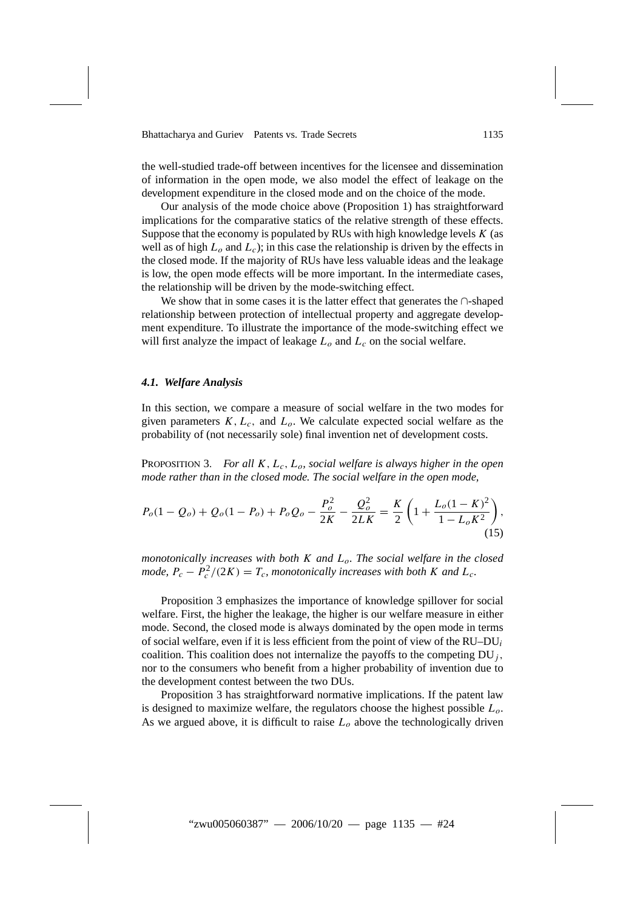the well-studied trade-off between incentives for the licensee and dissemination of information in the open mode, we also model the effect of leakage on the development expenditure in the closed mode and on the choice of the mode.

Our analysis of the mode choice above (Proposition 1) has straightforward implications for the comparative statics of the relative strength of these effects. Suppose that the economy is populated by RUs with high knowledge levels *K* (as well as of high  $L_0$  and  $L_c$ ); in this case the relationship is driven by the effects in the closed mode. If the majority of RUs have less valuable ideas and the leakage is low, the open mode effects will be more important. In the intermediate cases, the relationship will be driven by the mode-switching effect.

We show that in some cases it is the latter effect that generates the ∩-shaped relationship between protection of intellectual property and aggregate development expenditure. To illustrate the importance of the mode-switching effect we will first analyze the impact of leakage  $L_0$  and  $L_c$  on the social welfare.

#### *4.1. Welfare Analysis*

In this section, we compare a measure of social welfare in the two modes for given parameters  $K, L_c$ , and  $L<sub>o</sub>$ . We calculate expected social welfare as the probability of (not necessarily sole) final invention net of development costs.

Proposition 3. *For all K,Lc, Lo, social welfare is always higher in the open mode rather than in the closed mode. The social welfare in the open mode,*

$$
P_o(1 - Q_o) + Q_o(1 - P_o) + P_o Q_o - \frac{P_o^2}{2K} - \frac{Q_o^2}{2LK} = \frac{K}{2} \left( 1 + \frac{L_o(1 - K)^2}{1 - L_o K^2} \right),\tag{15}
$$

*monotonically increases with both K and Lo. The social welfare in the closed mode,*  $P_c - P_c^2/(2K) = T_c$ *, monotonically increases with both K and*  $L_c$ *.* 

Proposition 3 emphasizes the importance of knowledge spillover for social welfare. First, the higher the leakage, the higher is our welfare measure in either mode. Second, the closed mode is always dominated by the open mode in terms of social welfare, even if it is less efficient from the point of view of the RU–DU*<sup>i</sup>* coalition. This coalition does not internalize the payoffs to the competing DU*<sup>j</sup> ,* nor to the consumers who benefit from a higher probability of invention due to the development contest between the two DUs.

Proposition 3 has straightforward normative implications. If the patent law is designed to maximize welfare, the regulators choose the highest possible *Lo*. As we argued above, it is difficult to raise  $L_0$  above the technologically driven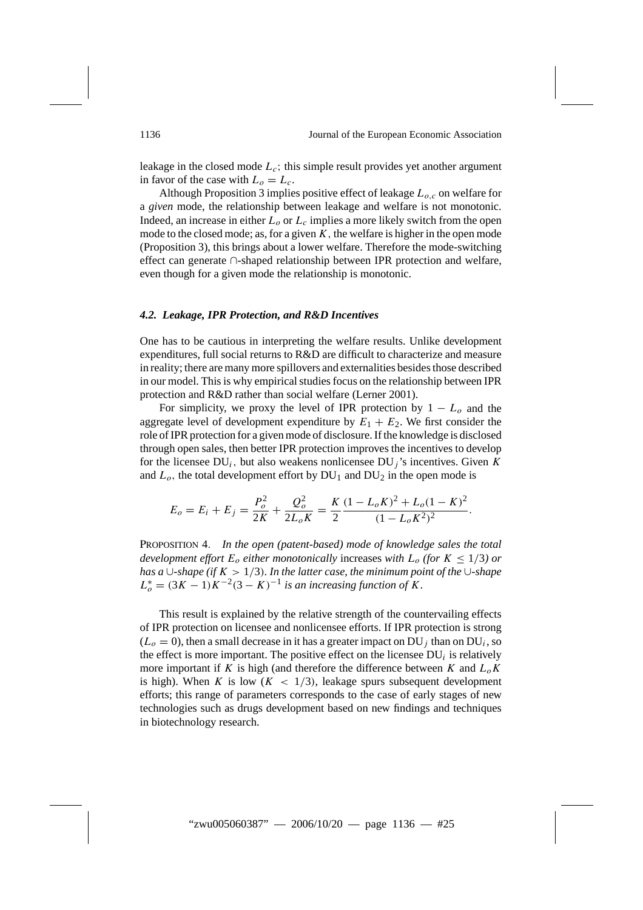leakage in the closed mode *Lc*; this simple result provides yet another argument in favor of the case with  $L_o = L_c$ .

Although Proposition 3 implies positive effect of leakage *Lo,c* on welfare for a *given* mode, the relationship between leakage and welfare is not monotonic. Indeed, an increase in either  $L<sub>o</sub>$  or  $L<sub>c</sub>$  implies a more likely switch from the open mode to the closed mode; as, for a given *K,* the welfare is higher in the open mode (Proposition 3), this brings about a lower welfare. Therefore the mode-switching effect can generate ∩-shaped relationship between IPR protection and welfare, even though for a given mode the relationship is monotonic.

#### *4.2. Leakage, IPR Protection, and R&D Incentives*

One has to be cautious in interpreting the welfare results. Unlike development expenditures, full social returns to R&D are difficult to characterize and measure in reality; there are many more spillovers and externalities besides those described in our model. This is why empirical studies focus on the relationship between IPR protection and R&D rather than social welfare (Lerner 2001).

For simplicity, we proxy the level of IPR protection by  $1 - L<sub>o</sub>$  and the aggregate level of development expenditure by  $E_1 + E_2$ . We first consider the role of IPR protection for a given mode of disclosure. If the knowledge is disclosed through open sales, then better IPR protection improves the incentives to develop for the licensee DU*i,* but also weakens nonlicensee DU*<sup>j</sup>* 's incentives. Given *K* and  $L_0$ , the total development effort by  $DU_1$  and  $DU_2$  in the open mode is

$$
E_o = E_i + E_j = \frac{P_o^2}{2K} + \frac{Q_o^2}{2L_oK} = \frac{K}{2} \frac{(1 - L_oK)^2 + L_o(1 - K)^2}{(1 - L_oK^2)^2}.
$$

Proposition 4. *In the open (patent-based) mode of knowledge sales the total development effort*  $E_o$  *either monotonically increases with*  $L_o$  (for  $K \leq 1/3$ ) or *has a* ∪*-shape (if K >* 1*/*3*). In the latter case, the minimum point of the* ∪*-shape*  $L_o^* = (3K - 1)K^{-2}(3 - K)^{-1}$  *is an increasing function of K.* 

This result is explained by the relative strength of the countervailing effects of IPR protection on licensee and nonlicensee efforts. If IPR protection is strong  $(L<sub>o</sub> = 0)$ , then a small decrease in it has a greater impact on DU<sub>*i*</sub> than on DU<sub>*i*</sub>, so the effect is more important. The positive effect on the licensee  $DU_i$  is relatively more important if *K* is high (and therefore the difference between *K* and  $L_0K$ is high). When *K* is low  $(K < 1/3)$ , leakage spurs subsequent development efforts; this range of parameters corresponds to the case of early stages of new technologies such as drugs development based on new findings and techniques in biotechnology research.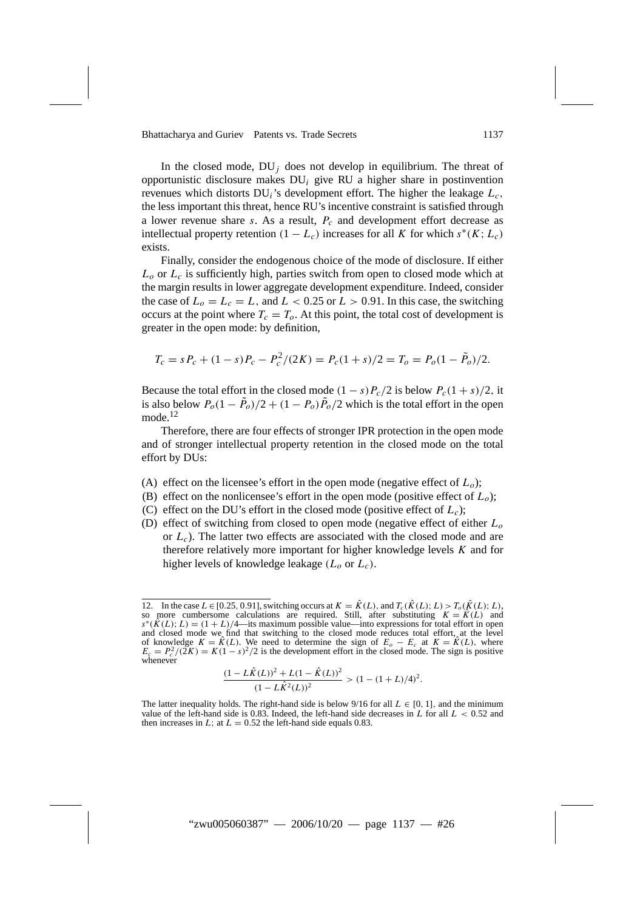In the closed mode,  $DU_j$  does not develop in equilibrium. The threat of opportunistic disclosure makes DU*<sup>i</sup>* give RU a higher share in postinvention revenues which distorts DU*i*'s development effort. The higher the leakage *Lc,* the less important this threat, hence RU's incentive constraint is satisfied through a lower revenue share *s*. As a result, *Pc* and development effort decrease as intellectual property retention  $(1 - L_c)$  increases for all *K* for which  $s^*(K; L_c)$ exists.

Finally, consider the endogenous choice of the mode of disclosure. If either *Lo* or *Lc* is sufficiently high, parties switch from open to closed mode which at the margin results in lower aggregate development expenditure. Indeed, consider the case of  $L<sub>o</sub> = L<sub>c</sub> = L$ , and  $L < 0.25$  or  $L > 0.91$ . In this case, the switching occurs at the point where  $T_c = T_o$ . At this point, the total cost of development is greater in the open mode: by definition,

$$
T_c = sP_c + (1 - s)P_c - P_c^2/(2K) = P_c(1 + s)/2 = T_o = P_o(1 - \tilde{P}_o)/2.
$$

Because the total effort in the closed mode  $(1 - s)P_c/2$  is below  $P_c(1 + s)/2$ , it is also below  $P_o(1 - \tilde{P}_o)/2 + (1 - P_o)\tilde{P}_o/2$  which is the total effort in the open mode.<sup>12</sup>

Therefore, there are four effects of stronger IPR protection in the open mode and of stronger intellectual property retention in the closed mode on the total effort by DUs:

- (A) effect on the licensee's effort in the open mode (negative effect of  $L_0$ );
- (B) effect on the nonlicensee's effort in the open mode (positive effect of  $L_0$ );
- (C) effect on the DU's effort in the closed mode (positive effect of  $L_c$ );
- (D) effect of switching from closed to open mode (negative effect of either *Lo* or *Lc*). The latter two effects are associated with the closed mode and are therefore relatively more important for higher knowledge levels *K* and for higher levels of knowledge leakage *(Lo* or *Lc)*.

$$
\frac{(1-L\hat{K}(L))^{2}+L(1-\hat{K}(L))^{2}}{(1-L\hat{K}^{2}(L))^{2}}>(1-(1+L)/4)^{2}.
$$

"zwu005060387" — 2006/10/20 — page  $1137 - #26$ 

<sup>12.</sup> In the case  $L \in [0.25, 0.91]$ , switching occurs at  $K = \hat{K}(L)$ , and  $T_c(\hat{K}(L); L) > T_o(\hat{K}(L); L)$ , so more cumbersome calculations are required. Still, after substituting  $K = \hat{K}(L)$  and  $s*(\hat{K}(L); L) = (1 + L)/4$ —its maximum possible value—into expressions for total effort in open and closed mode we find that switching to the closed mode reduces total effort, at the level of knowledge  $K = \hat{K}(L)$ . We need to determine the sign of  $E_o - E_c$  at  $K = \hat{K}(L)$ , where  $E_c = P_c^2 / (\tilde{Z}K) = K(1 - s)^2 / 2$  is the development effort in the closed mode. The sign is positive whenever

The latter inequality holds. The right-hand side is below 9/16 for all  $L \in [0, 1]$ , and the minimum value of the left-hand side is 0.83. Indeed, the left-hand side decreases in *L* for all *L <* 0*.*52 and then increases in *L*; at  $L = 0.52$  the left-hand side equals 0.83.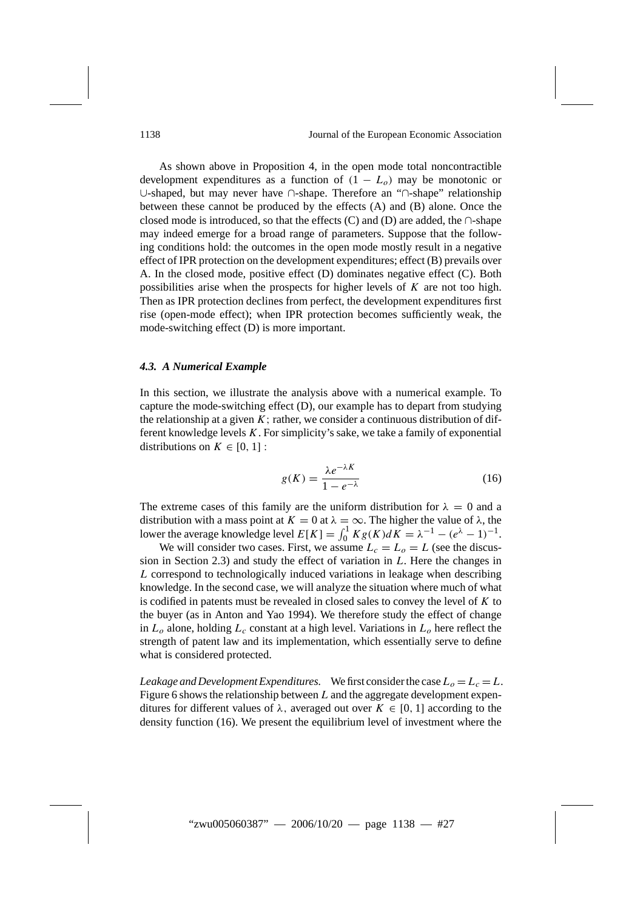As shown above in Proposition 4, in the open mode total noncontractible development expenditures as a function of  $(1 - L<sub>o</sub>)$  may be monotonic or ∪-shaped, but may never have ∩-shape. Therefore an "∩-shape" relationship between these cannot be produced by the effects (A) and (B) alone. Once the closed mode is introduced, so that the effects  $(C)$  and  $(D)$  are added, the  $\cap$ -shape may indeed emerge for a broad range of parameters. Suppose that the following conditions hold: the outcomes in the open mode mostly result in a negative effect of IPR protection on the development expenditures; effect (B) prevails over A. In the closed mode, positive effect (D) dominates negative effect (C). Both possibilities arise when the prospects for higher levels of *K* are not too high. Then as IPR protection declines from perfect, the development expenditures first rise (open-mode effect); when IPR protection becomes sufficiently weak, the mode-switching effect (D) is more important.

#### *4.3. A Numerical Example*

In this section, we illustrate the analysis above with a numerical example. To capture the mode-switching effect (D), our example has to depart from studying the relationship at a given  $K$ ; rather, we consider a continuous distribution of different knowledge levels *K*. For simplicity's sake, we take a family of exponential distributions on  $K \in [0, 1]$ :

$$
g(K) = \frac{\lambda e^{-\lambda K}}{1 - e^{-\lambda}}\tag{16}
$$

The extreme cases of this family are the uniform distribution for  $\lambda = 0$  and a distribution with a mass point at  $K = 0$  at  $\lambda = \infty$ . The higher the value of  $\lambda$ , the lower the average knowledge level  $E[K] = \int_0^1 K g(K) dK = \lambda^{-1} - (e^{\lambda} - 1)^{-1}$ .

We will consider two cases. First, we assume  $L_c = L_o = L$  (see the discussion in Section 2.3) and study the effect of variation in *L*. Here the changes in *L* correspond to technologically induced variations in leakage when describing knowledge. In the second case, we will analyze the situation where much of what is codified in patents must be revealed in closed sales to convey the level of *K* to the buyer (as in Anton and Yao 1994). We therefore study the effect of change in *Lo* alone, holding *Lc* constant at a high level. Variations in *Lo* here reflect the strength of patent law and its implementation, which essentially serve to define what is considered protected.

*Leakage and Development Expenditures.* We first consider the case  $L_o = L_c = L$ . Figure 6 shows the relationship between *L* and the aggregate development expenditures for different values of  $\lambda$ , averaged out over  $K \in [0, 1]$  according to the density function (16). We present the equilibrium level of investment where the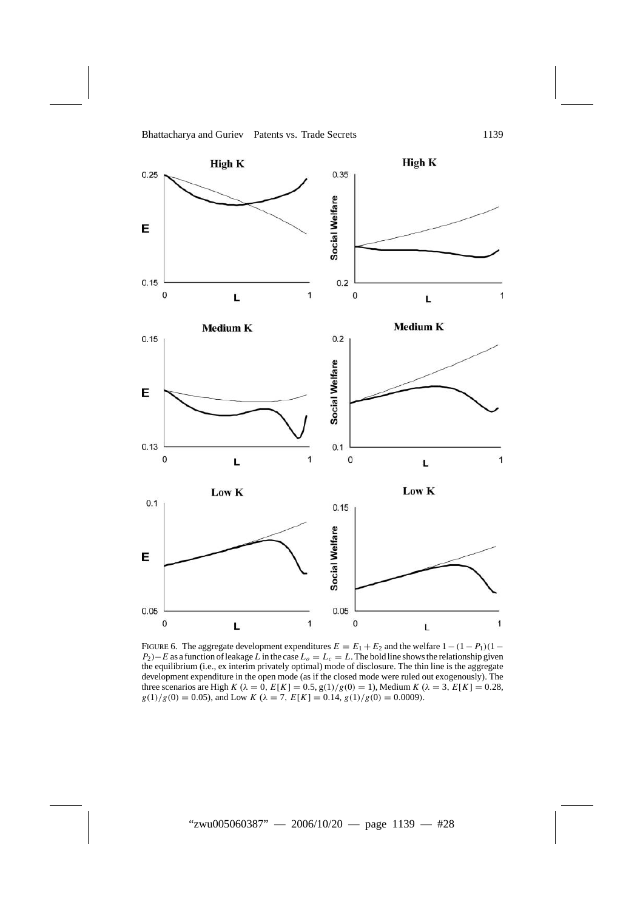



FIGURE 6. The aggregate development expenditures  $E = E_1 + E_2$  and the welfare  $1 - (1 - P_1)(1 - P_2)$ *P*<sub>2</sub> $)-E$  as a function of leakage *L* in the case  $L_0 = L_c = L$ . The bold line shows the relationship given the equilibrium (i.e., ex interim privately optimal) mode of disclosure. The thin line is the aggregate development expenditure in the open mode (as if the closed mode were ruled out exogenously). The three scenarios are High *K* ( $\lambda = 0$ ,  $E[K] = 0.5$ ,  $g(1)/g(0) = 1$ ), Medium *K* ( $\lambda = 3$ ,  $E[K] = 0.28$ ,  $g(1)/g(0) = 0.05$ , and Low *K* ( $\lambda = 7$ ,  $E[K] = 0.14$ ,  $g(1)/g(0) = 0.0009$ ).

"zwu005060387" — 2006/10/20 — page 1139 — #28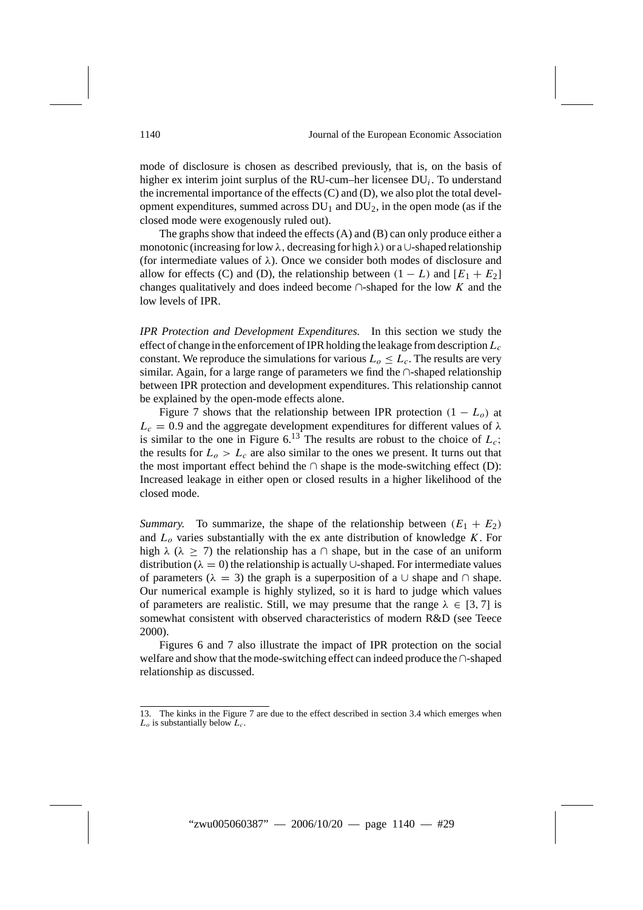mode of disclosure is chosen as described previously, that is, on the basis of higher ex interim joint surplus of the RU-cum–her licensee DU*i*. To understand the incremental importance of the effects (C) and (D), we also plot the total development expenditures, summed across  $DU_1$  and  $DU_2$ , in the open mode (as if the closed mode were exogenously ruled out).

The graphs show that indeed the effects (A) and (B) can only produce either a monotonic (increasing for low *λ,* decreasing for high *λ)* or a∪-shaped relationship (for intermediate values of *λ*). Once we consider both modes of disclosure and allow for effects (C) and (D), the relationship between  $(1 - L)$  and  $[E_1 + E_2]$ changes qualitatively and does indeed become ∩-shaped for the low *K* and the low levels of IPR.

*IPR Protection and Development Expenditures.* In this section we study the effect of change in the enforcement of IPR holding the leakage from description  $L_c$ constant. We reproduce the simulations for various  $L_0 \leq L_c$ . The results are very similar. Again, for a large range of parameters we find the ∩-shaped relationship between IPR protection and development expenditures. This relationship cannot be explained by the open-mode effects alone.

Figure 7 shows that the relationship between IPR protection  $(1 - L<sub>o</sub>)$  at  $L_c = 0.9$  and the aggregate development expenditures for different values of  $\lambda$ is similar to the one in Figure  $6.\overline{^{13}}$ . The results are robust to the choice of  $L_c$ ; the results for  $L<sub>o</sub> > L<sub>c</sub>$  are also similar to the ones we present. It turns out that the most important effect behind the  $\cap$  shape is the mode-switching effect (D): Increased leakage in either open or closed results in a higher likelihood of the closed mode.

*Summary.* To summarize, the shape of the relationship between  $(E_1 + E_2)$ and *Lo* varies substantially with the ex ante distribution of knowledge *K*. For high  $\lambda$  ( $\lambda \geq 7$ ) the relationship has a  $\cap$  shape, but in the case of an uniform distribution ( $\lambda = 0$ ) the relationship is actually ∪-shaped. For intermediate values of parameters ( $\lambda = 3$ ) the graph is a superposition of a  $\cup$  shape and  $\cap$  shape. Our numerical example is highly stylized, so it is hard to judge which values of parameters are realistic. Still, we may presume that the range  $\lambda \in [3, 7]$  is somewhat consistent with observed characteristics of modern R&D (see Teece 2000).

Figures 6 and 7 also illustrate the impact of IPR protection on the social welfare and show that the mode-switching effect can indeed produce the∩-shaped relationship as discussed.

<sup>13.</sup> The kinks in the Figure 7 are due to the effect described in section 3.4 which emerges when  $L<sub>o</sub>$  is substantially below  $L<sub>c</sub>$ .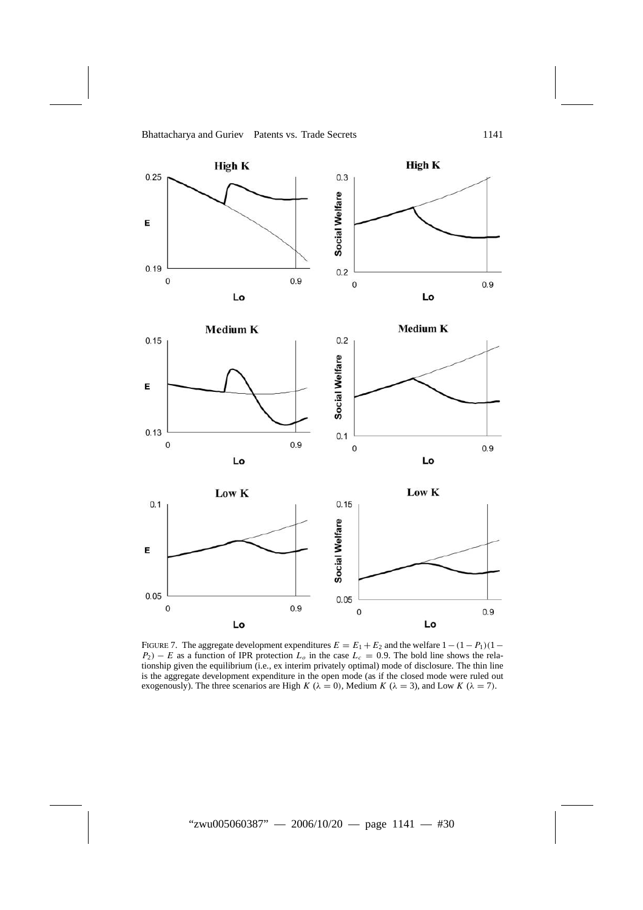

FIGURE 7. The aggregate development expenditures  $E = E_1 + E_2$  and the welfare  $1 - (1 - P_1)(1 - P_2)$  $P_2$ *)* − *E* as a function of IPR protection  $L_o$  in the case  $L_c = 0.9$ . The bold line shows the relationship given the equilibrium (i.e., ex interim privately optimal) mode of disclosure. The thin line is the aggregate development expenditure in the open mode (as if the closed mode were ruled out exogenously). The three scenarios are High *K* ( $\lambda = 0$ ), Medium *K* ( $\lambda = 3$ ), and Low *K* ( $\lambda = 7$ ).

"zwu005060387" — 2006/10/20 — page 1141 — #30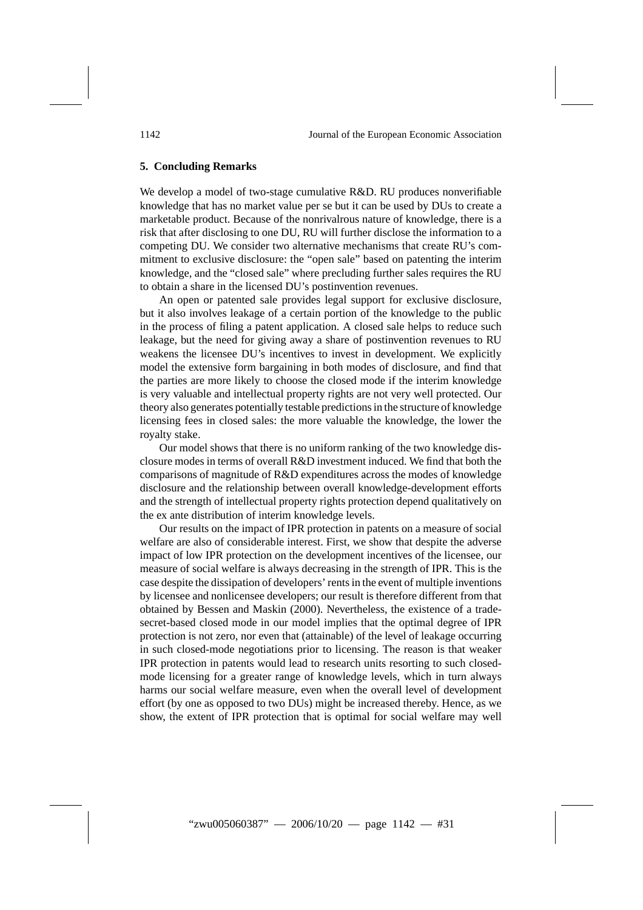#### **5. Concluding Remarks**

We develop a model of two-stage cumulative R&D. RU produces nonverifiable knowledge that has no market value per se but it can be used by DUs to create a marketable product. Because of the nonrivalrous nature of knowledge, there is a risk that after disclosing to one DU, RU will further disclose the information to a competing DU. We consider two alternative mechanisms that create RU's commitment to exclusive disclosure: the "open sale" based on patenting the interim knowledge, and the "closed sale" where precluding further sales requires the RU to obtain a share in the licensed DU's postinvention revenues.

An open or patented sale provides legal support for exclusive disclosure, but it also involves leakage of a certain portion of the knowledge to the public in the process of filing a patent application. A closed sale helps to reduce such leakage, but the need for giving away a share of postinvention revenues to RU weakens the licensee DU's incentives to invest in development. We explicitly model the extensive form bargaining in both modes of disclosure, and find that the parties are more likely to choose the closed mode if the interim knowledge is very valuable and intellectual property rights are not very well protected. Our theory also generates potentially testable predictions in the structure of knowledge licensing fees in closed sales: the more valuable the knowledge, the lower the royalty stake.

Our model shows that there is no uniform ranking of the two knowledge disclosure modes in terms of overall R&D investment induced. We find that both the comparisons of magnitude of R&D expenditures across the modes of knowledge disclosure and the relationship between overall knowledge-development efforts and the strength of intellectual property rights protection depend qualitatively on the ex ante distribution of interim knowledge levels.

Our results on the impact of IPR protection in patents on a measure of social welfare are also of considerable interest. First, we show that despite the adverse impact of low IPR protection on the development incentives of the licensee, our measure of social welfare is always decreasing in the strength of IPR. This is the case despite the dissipation of developers' rents in the event of multiple inventions by licensee and nonlicensee developers; our result is therefore different from that obtained by Bessen and Maskin (2000). Nevertheless, the existence of a tradesecret-based closed mode in our model implies that the optimal degree of IPR protection is not zero, nor even that (attainable) of the level of leakage occurring in such closed-mode negotiations prior to licensing. The reason is that weaker IPR protection in patents would lead to research units resorting to such closedmode licensing for a greater range of knowledge levels, which in turn always harms our social welfare measure, even when the overall level of development effort (by one as opposed to two DUs) might be increased thereby. Hence, as we show, the extent of IPR protection that is optimal for social welfare may well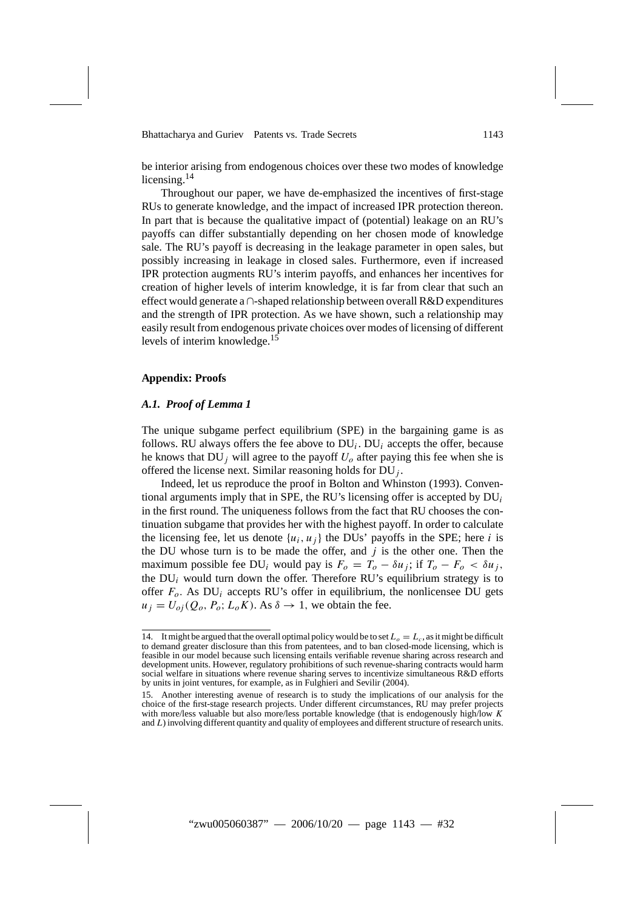be interior arising from endogenous choices over these two modes of knowledge licensing.<sup>14</sup>

Throughout our paper, we have de-emphasized the incentives of first-stage RUs to generate knowledge, and the impact of increased IPR protection thereon. In part that is because the qualitative impact of (potential) leakage on an RU's payoffs can differ substantially depending on her chosen mode of knowledge sale. The RU's payoff is decreasing in the leakage parameter in open sales, but possibly increasing in leakage in closed sales. Furthermore, even if increased IPR protection augments RU's interim payoffs, and enhances her incentives for creation of higher levels of interim knowledge, it is far from clear that such an effect would generate a ∩-shaped relationship between overall R&D expenditures and the strength of IPR protection. As we have shown, such a relationship may easily result from endogenous private choices over modes of licensing of different levels of interim knowledge.<sup>15</sup>

#### **Appendix: Proofs**

#### *A.1. Proof of Lemma 1*

The unique subgame perfect equilibrium (SPE) in the bargaining game is as follows. RU always offers the fee above to DU*i*. DU*<sup>i</sup>* accepts the offer, because he knows that DU*<sup>j</sup>* will agree to the payoff *Uo* after paying this fee when she is offered the license next. Similar reasoning holds for DU*<sup>j</sup>* .

Indeed, let us reproduce the proof in Bolton and Whinston (1993). Conventional arguments imply that in SPE, the RU's licensing offer is accepted by DU*<sup>i</sup>* in the first round. The uniqueness follows from the fact that RU chooses the continuation subgame that provides her with the highest payoff. In order to calculate the licensing fee, let us denote  $\{u_i, u_j\}$  the DUs' payoffs in the SPE; here *i* is the DU whose turn is to be made the offer, and *j* is the other one. Then the maximum possible fee DU<sub>i</sub> would pay is  $F_o = T_o - \delta u_j$ ; if  $T_o - F_o < \delta u_j$ , the  $DU_i$  would turn down the offer. Therefore RU's equilibrium strategy is to offer  $F<sub>o</sub>$ . As DU<sub>i</sub> accepts RU's offer in equilibrium, the nonlicensee DU gets  $u_j = U_{oj}(Q_o, P_o; L_o K)$ . As  $\delta \rightarrow 1$ , we obtain the fee.

<sup>14.</sup> It might be argued that the overall optimal policy would be to set  $L_0 = L_c$ , as it might be difficult to demand greater disclosure than this from patentees, and to ban closed-mode licensing, which is feasible in our model because such licensing entails verifiable revenue sharing across research and development units. However, regulatory prohibitions of such revenue-sharing contracts would harm social welfare in situations where revenue sharing serves to incentivize simultaneous R&D efforts by units in joint ventures, for example, as in Fulghieri and Sevilir (2004).

<sup>15.</sup> Another interesting avenue of research is to study the implications of our analysis for the choice of the first-stage research projects. Under different circumstances, RU may prefer projects with more/less valuable but also more/less portable knowledge (that is endogenously high/low *K* and *L*) involving different quantity and quality of employees and different structure of research units.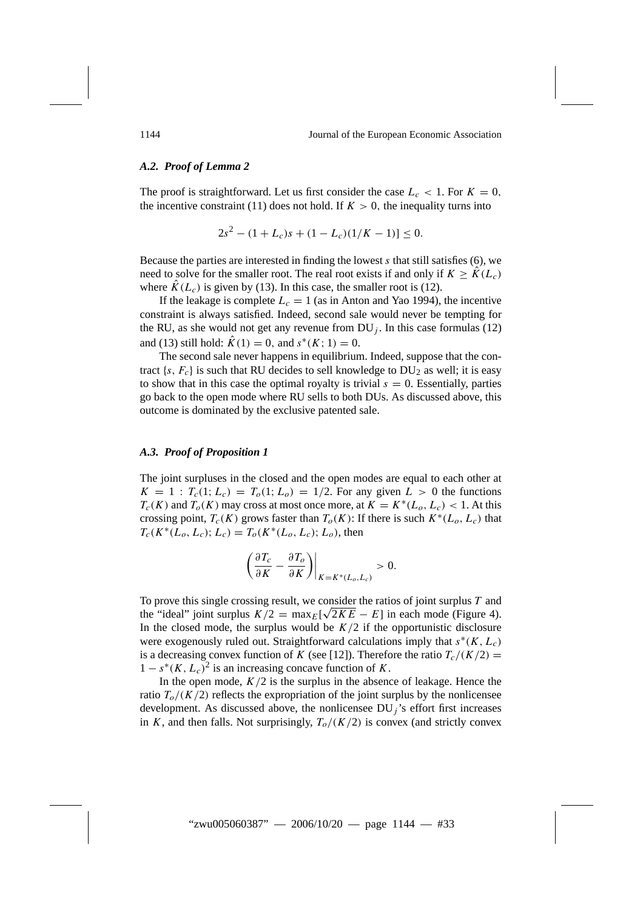#### *A.2. Proof of Lemma 2*

The proof is straightforward. Let us first consider the case  $L_c < 1$ . For  $K = 0$ , the incentive constraint (11) does not hold. If  $K > 0$ , the inequality turns into

$$
2s^2 - (1 + L_c)s + (1 - L_c)(1/K - 1)] \le 0.
$$

Because the parties are interested in finding the lowest *s* that still satisfies (6), we need to solve for the smaller root. The real root exists if and only if  $K \geq \hat{K}(L_c)$ where  $K(L_c)$  is given by (13). In this case, the smaller root is (12).

If the leakage is complete  $L_c = 1$  (as in Anton and Yao 1994), the incentive constraint is always satisfied. Indeed, second sale would never be tempting for the RU, as she would not get any revenue from  $DU_j$ . In this case formulas (12) and (13) still hold:  $K(1) = 0$ , and  $s^*(K; 1) = 0$ .

The second sale never happens in equilibrium. Indeed, suppose that the contract { $s, F_c$ } is such that RU decides to sell knowledge to  $DU_2$  as well; it is easy to show that in this case the optimal royalty is trivial  $s = 0$ . Essentially, parties go back to the open mode where RU sells to both DUs. As discussed above, this outcome is dominated by the exclusive patented sale.

#### *A.3. Proof of Proposition 1*

The joint surpluses in the closed and the open modes are equal to each other at  $K = 1$ :  $T_c(1; L_c) = T_o(1; L_o) = 1/2$ . For any given  $L > 0$  the functions  $T_c(K)$  and  $T_o(K)$  may cross at most once more, at  $K = K^*(L_o, L_c) < 1$ . At this crossing point,  $T_c(K)$  grows faster than  $T_o(K)$ : If there is such  $K^*(L_o, L_c)$  that  $T_c(K^*(L_o, L_c); L_c) = T_o(K^*(L_o, L_c); L_o)$ , then

$$
\left.\left(\frac{\partial T_c}{\partial K} - \frac{\partial T_o}{\partial K}\right)\right|_{K = K^*(L_o, L_c)} > 0.
$$

To prove this single crossing result, we consider the ratios of joint surplus *T* and to prove this single crossing result, we consider the ratios of joint surplus *I* and the "ideal" joint surplus  $K/2 = \max_E[\sqrt{2KE} - E]$  in each mode (Figure 4). In the closed mode, the surplus would be  $K/2$  if the opportunistic disclosure were exogenously ruled out. Straightforward calculations imply that *s*<sup>∗</sup>*(K, Lc)* is a decreasing convex function of *K* (see [12]). Therefore the ratio  $T_c/(K/2)$  =  $1 - s^*(K, L_c)^2$  is an increasing concave function of K.

In the open mode,  $K/2$  is the surplus in the absence of leakage. Hence the ratio  $T_o/(K/2)$  reflects the expropriation of the joint surplus by the nonlicensee development. As discussed above, the nonlicensee DU*<sup>j</sup>* 's effort first increases in *K*, and then falls. Not surprisingly,  $T_o/(K/2)$  is convex (and strictly convex

"zwu005060387" — 2006/10/20 — page 1144 — #33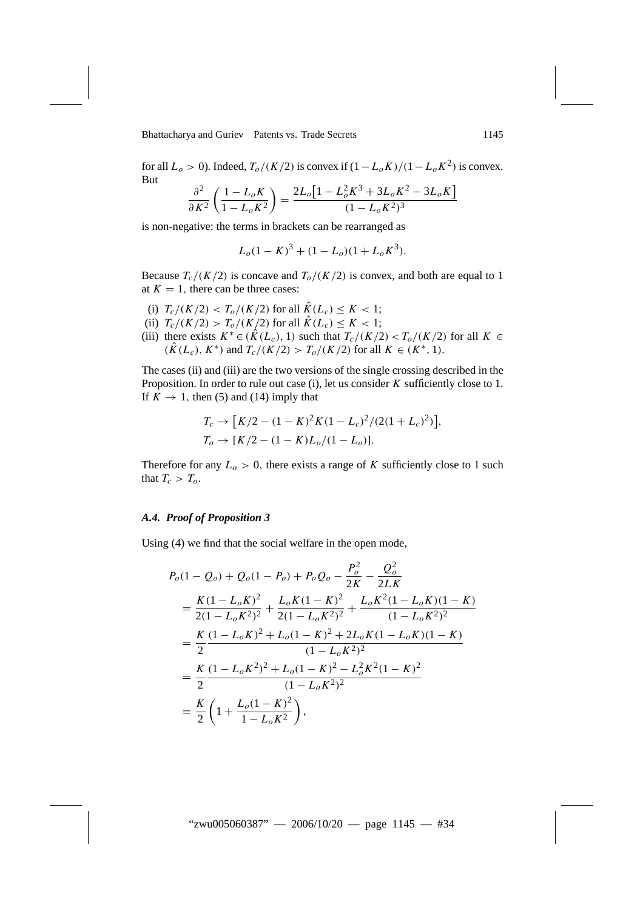for all  $L_o > 0$ ). Indeed,  $T_o/(K/2)$  is convex if  $(1 - L_o K)/(1 - L_o K^2)$  is convex. But

$$
\frac{\partial^2}{\partial K^2} \left( \frac{1 - L_o K}{1 - L_o K^2} \right) = \frac{2L_o [1 - L_o^2 K^3 + 3L_o K^2 - 3L_o K]}{(1 - L_o K^2)^3}
$$

is non-negative: the terms in brackets can be rearranged as

$$
L_o(1 - K)^3 + (1 - L_o)(1 + L_o K^3).
$$

Because  $T_c/(K/2)$  is concave and  $T_o/(K/2)$  is convex, and both are equal to 1 at  $K = 1$ , there can be three cases:

- (i)  $T_c/(K/2) < T_o/(K/2)$  for all  $\hat{K}(L_c) \leq K < 1$ ; (ii)  $T_c/(K/2) > T_o/(K/2)$  for all  $\hat{K}(L_c) \leq K < 1$ ;
- (iii) there exists  $K^* \in (\hat{K}(L_c), 1)$  such that  $T_c/(K/2) < T_o/(K/2)$  for all  $K \in$  $(K(L_c), K^*)$  and  $T_c/(K/2) > T_o/(K/2)$  for all  $K \in (K^*, 1)$ .

The cases (ii) and (iii) are the two versions of the single crossing described in the Proposition. In order to rule out case (i), let us consider *K* sufficiently close to 1. If  $K \rightarrow 1$ , then (5) and (14) imply that

$$
T_c \to \left[ \frac{K}{2} - (1 - K)^2 K (1 - L_c)^2 / (2(1 + L_c)^2) \right],
$$
  
\n
$$
T_o \to \left[ \frac{K}{2} - (1 - K)L_o / (1 - L_o) \right].
$$

Therefore for any  $L_0 > 0$ , there exists a range of K sufficiently close to 1 such that  $T_c > T_o$ .

#### *A.4. Proof of Proposition 3*

Using (4) we find that the social welfare in the open mode,

$$
P_o(1 - Q_o) + Q_o(1 - P_o) + P_o Q_o - \frac{P_o^2}{2K} - \frac{Q_o^2}{2LK}
$$
  
= 
$$
\frac{K(1 - L_oK)^2}{2(1 - L_oK^2)^2} + \frac{L_oK(1 - K)^2}{2(1 - L_oK^2)^2} + \frac{L_oK^2(1 - L_oK)(1 - K)}{(1 - L_oK^2)^2}
$$
  
= 
$$
\frac{K}{2} \frac{(1 - L_oK)^2 + L_o(1 - K)^2 + 2L_oK(1 - L_oK)(1 - K)}{(1 - L_oK^2)^2}
$$
  
= 
$$
\frac{K}{2} \frac{(1 - L_oK^2)^2 + L_o(1 - K)^2 - L_o^2K^2(1 - K)^2}{(1 - L_oK^2)^2}
$$
  
= 
$$
\frac{K}{2} \left(1 + \frac{L_o(1 - K)^2}{1 - L_oK^2}\right),
$$

"zwu005060387" — 2006/10/20 — page  $1145 - #34$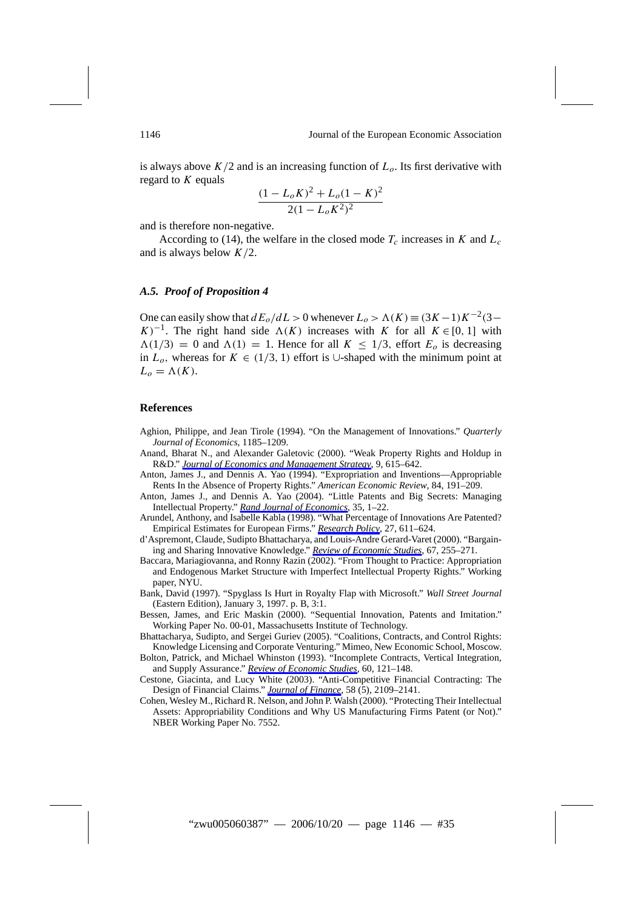is always above  $K/2$  and is an increasing function of  $L<sub>o</sub>$ . Its first derivative with regard to *K* equals

$$
\frac{(1 - L_o K)^2 + L_o (1 - K)^2}{2(1 - L_o K^2)^2}
$$

and is therefore non-negative.

According to (14), the welfare in the closed mode  $T_c$  increases in *K* and  $L_c$ and is always below *K/*2.

#### *A.5. Proof of Proposition 4*

One can easily show that  $dE_o/dL > 0$  whenever  $L_o > \Lambda(K) \equiv (3K-1)K^{-2}(3-\Lambda(K))$  $(K)^{-1}$ . The right hand side  $\Lambda(K)$  increases with *K* for all  $K \in [0, 1]$  with  $\Lambda(1/3) = 0$  and  $\Lambda(1) = 1$ . Hence for all  $K \leq 1/3$ , effort  $E_o$  is decreasing in *Lo,* whereas for *K* ∈ *(*1*/*3*,* 1*)* effort is ∪-shaped with the minimum point at  $L<sub>0</sub> = \Lambda(K)$ .

#### **References**

- Aghion, Philippe, and Jean Tirole (1994). "On the Management of Innovations." *Quarterly Journal of Economics*, 1185–1209.
- Anand, Bharat N., and Alexander Galetovic (2000). "Weak Property Rights and Holdup in R&D." *Journal of Economics and Management Strategy*, 9, 615–642.
- Anton, James J., and Dennis A. Yao (1994). "Expropriation and Inventions—Appropriable Rents In the Absence of Property Rights." *American Economic Review*, 84, 191–209.
- Anton, James J., and Dennis A. Yao (2004). "Little Patents and Big Secrets: Managing Intellectual Property." *Rand Journal of Economics*, 35, 1–22.
- Arundel, Anthony, and Isabelle Kabla (1998). "What Percentage of Innovations Are Patented? Empirical Estimates for European Firms." *Research Policy*, 27, 611–624.
- d'Aspremont, Claude, Sudipto Bhattacharya, and Louis-Andre Gerard-Varet (2000). "Bargaining and Sharing Innovative Knowledge." *Review of Economic Studies*, 67, 255–271.
- Baccara, Mariagiovanna, and Ronny Razin (2002). "From Thought to Practice: Appropriation and Endogenous Market Structure with Imperfect Intellectual Property Rights." Working paper, NYU.
- Bank, David (1997). "Spyglass Is Hurt in Royalty Flap with Microsoft." *Wall Street Journal* (Eastern Edition), January 3, 1997. p. B, 3:1.
- Bessen, James, and Eric Maskin (2000). "Sequential Innovation, Patents and Imitation." Working Paper No. 00-01, Massachusetts Institute of Technology.
- Bhattacharya, Sudipto, and Sergei Guriev (2005). "Coalitions, Contracts, and Control Rights: Knowledge Licensing and Corporate Venturing." Mimeo, New Economic School, Moscow.
- Bolton, Patrick, and Michael Whinston (1993). "Incomplete Contracts, Vertical Integration, and Supply Assurance." *Review of Economic Studies*, 60, 121–148.
- Cestone, Giacinta, and Lucy White (2003). "Anti-Competitive Financial Contracting: The Design of Financial Claims." *Journal of Finance*, 58 (5), 2109–2141.
- Cohen, Wesley M., Richard R. Nelson, and John P. Walsh (2000). "Protecting Their Intellectual Assets: Appropriability Conditions and Why US Manufacturing Firms Patent (or Not)." NBER Working Paper No. 7552.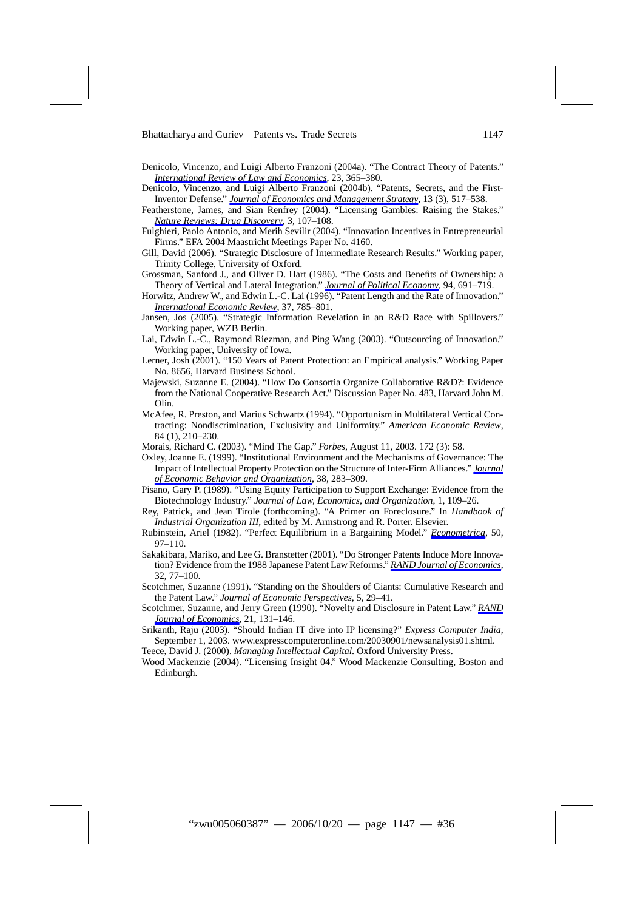- Denicolo, Vincenzo, and Luigi Alberto Franzoni (2004a). "The Contract Theory of Patents." *International Review of Law and Economics*, 23, 365–380.
- Denicolo, Vincenzo, and Luigi Alberto Franzoni (2004b). "Patents, Secrets, and the First-Inventor Defense." *Journal of Economics and Management Strategy*, 13 (3), 517–538.
- Featherstone, James, and Sian Renfrey (2004). "Licensing Gambles: Raising the Stakes." *Nature Reviews: Drug Discovery*, 3, 107–108.
- Fulghieri, Paolo Antonio, and Merih Sevilir (2004). "Innovation Incentives in Entrepreneurial Firms." EFA 2004 Maastricht Meetings Paper No. 4160.
- Gill, David (2006). "Strategic Disclosure of Intermediate Research Results." Working paper, Trinity College, University of Oxford.
- Grossman, Sanford J., and Oliver D. Hart (1986). "The Costs and Benefits of Ownership: a Theory of Vertical and Lateral Integration." *Journal of Political Economy*, 94, 691–719.
- Horwitz, Andrew W., and Edwin L.-C. Lai (1996). "Patent Length and the Rate of Innovation." *International Economic Review*, 37, 785–801.
- Jansen, Jos (2005). "Strategic Information Revelation in an R&D Race with Spillovers." Working paper, WZB Berlin.
- Lai, Edwin L.-C., Raymond Riezman, and Ping Wang (2003). "Outsourcing of Innovation." Working paper, University of Iowa.
- Lerner, Josh (2001). "150 Years of Patent Protection: an Empirical analysis." Working Paper No. 8656, Harvard Business School.
- Majewski, Suzanne E. (2004). "How Do Consortia Organize Collaborative R&D?: Evidence from the National Cooperative Research Act." Discussion Paper No. 483, Harvard John M. Olin.
- McAfee, R. Preston, and Marius Schwartz (1994). "Opportunism in Multilateral Vertical Contracting: Nondiscrimination, Exclusivity and Uniformity." *American Economic Review*, 84 (1), 210–230.
- Morais, Richard C. (2003). "Mind The Gap." *Forbes*, August 11, 2003. 172 (3): 58.
- Oxley, Joanne E. (1999). "Institutional Environment and the Mechanisms of Governance: The Impact of Intellectual Property Protection on the Structure of Inter-Firm Alliances." *Journal of Economic Behavior and Organization*, 38, 283–309.
- Pisano, Gary P. (1989). "Using Equity Participation to Support Exchange: Evidence from the Biotechnology Industry." *Journal of Law, Economics, and Organization*, 1, 109–26.
- Rey, Patrick, and Jean Tirole (forthcoming). "A Primer on Foreclosure." In *Handbook of Industrial Organization III*, edited by M. Armstrong and R. Porter. Elsevier.
- Rubinstein, Ariel (1982). "Perfect Equilibrium in a Bargaining Model." *Econometrica*, 50, 97–110.
- Sakakibara, Mariko, and Lee G. Branstetter (2001). "Do Stronger Patents Induce More Innovation? Evidence from the 1988 Japanese Patent Law Reforms." *RAND Journal of Economics*, 32, 77–100.
- Scotchmer, Suzanne (1991). "Standing on the Shoulders of Giants: Cumulative Research and the Patent Law." *Journal of Economic Perspectives*, 5, 29–41.
- Scotchmer, Suzanne, and Jerry Green (1990). "Novelty and Disclosure in Patent Law." *RAND Journal of Economics*, 21, 131–146.
- Srikanth, Raju (2003). "Should Indian IT dive into IP licensing?" *Express Computer India*, September 1, 2003. www.expresscomputeronline.com/20030901/newsanalysis01.shtml. Teece, David J. (2000). *Managing Intellectual Capital*. Oxford University Press.
- Wood Mackenzie (2004). "Licensing Insight 04." Wood Mackenzie Consulting, Boston and Edinburgh.